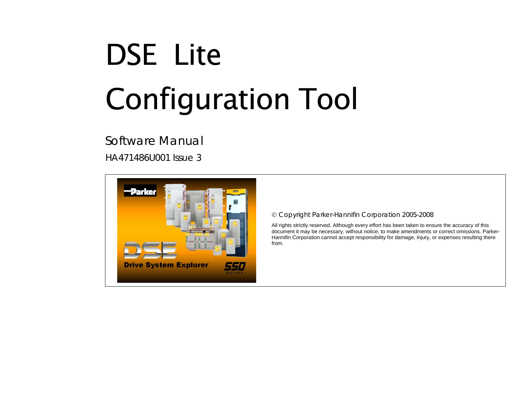# DSE Lite Configuration Tool

Software Manual

HA471486U001 Issue 3



© Copyright Parker-Hannifin Corporation 2005-2008

All rights strictly reserved. Although every effort has been taken to ensure the accuracy of this document it may be necessary, without notice, to make amendments or correct omissions. Parker-Hannifin Corporation cannot accept responsibility for damage, injury, or expenses resulting there from.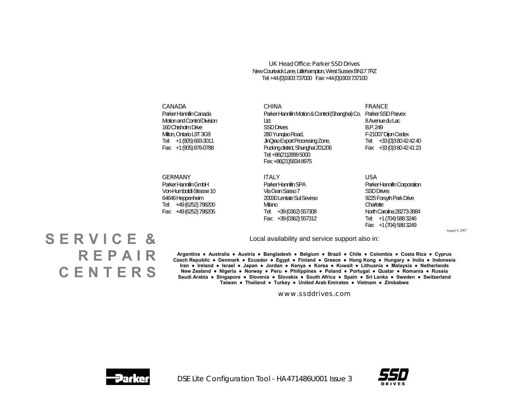#### UK Head Office: Parker SSD Drives New Courtwick Lane, Littlehampton, West Sussex BN17 7RZ Tel: +44 (0)1903 737000 Fax: +44 (0)1903 737100

#### **CANADA**

Parker Hannifin Canada Motion and Control Division 160 Chisholm Drive Milton, Ontario L9T 3G9 Tel: +1 (905) 693-3011 Fax: +1 (905) 876-0788

#### **GERMANY**

Parker Hannifin GmbH Von-Humboldt-Strasse 10 64646 Heppenheim Tel: +49 (6252) 798200 Fax: +49 (6252) 798205

#### **CHINA** Parker Hannifin Motion & Control (Shanghai) Co. Ltd. SSD Drives 280 Yunqiao Road, JinQiao Export Processing Zone, Pudong district, Shanghai 201206 Tel: +86(21)2899 5000 Fax: +86(21)5834 8975

**ITALY** 

Parker Hannifin SPA Via Gran Sasso 7 20030 Lentate Sul Seveso Milano Tel: +39 (0362) 557308 Fax: +39 (0362) 557312

#### USA Parker Hannifin Corporation SSD Drives 9225 Forsyth Park Drive **Charlotte** North Carolina 28273-3884 Tel: +1 (704) 588 3246 Fax: +1 (704) 588 3249

FRANCE Parker SSD Parvex 8 Avenue du Lac B.P. 249

F-21007 Dijon Cedex Tel: +33 (0)3 80 42 42 40 Fax: +33 (0)3 80 42 41 23

August 8, 2007

## **S E R V I C E & R E P A I R C E N T E R S**

Local availability and service support also in:

Argentina . Australia . Austria . Bangladesh . Belgium . Brazil . Chile . Colombia . Costa Rica . Cyprus Czech Republic • Denmark • Ecuador • Egypt • Finland • Greece • Hong Kong • Hungary • India • Indonesia Iran • Ireland • Israel • Japan • Jordan • Kenya • Korea • Kuwait • Lithuania • Malaysia • Netherlands New Zealand • Nigeria • Norway • Peru • Philippines • Poland • Portugal • Quatar • Romania • Russia **Saudi Arabia ● Singapore ● Slovenia ● Slovakia ● South Africa ● Spain ● Sri Lanka ● Sweden ● Switzerland Taiwan ● Thailand ● Turkey ● United Arab Emirates ● Vietnam ● Zimbabwe**

www.ssddrives.com



*DSE Lite Configuration Tool - HA471486U001 Issue 3* 

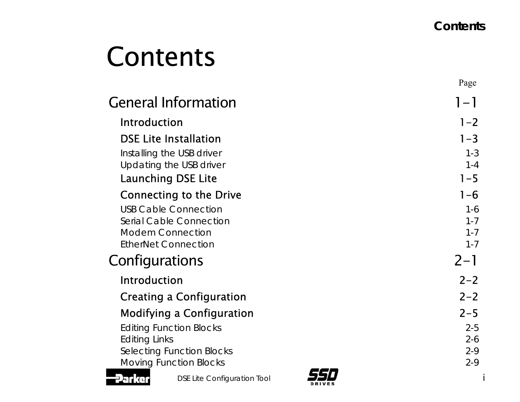| <b>General Information</b>                                                                                      | $\mathsf{I} - \mathsf{I}$                |
|-----------------------------------------------------------------------------------------------------------------|------------------------------------------|
| <b>Introduction</b>                                                                                             | $1 - 2$                                  |
| <b>DSE Lite Installation</b>                                                                                    | $1 - 3$                                  |
| Installing the USB driver<br>Updating the USB driver                                                            | $1 - 3$<br>$1 - 4$                       |
| <b>Launching DSE Lite</b>                                                                                       | $1 - 5$                                  |
| <b>Connecting to the Drive</b>                                                                                  | $1 - 6$                                  |
| <b>USB Cable Connection</b><br>Serial Cable Connection<br><b>Modem Connection</b><br><b>EtherNet Connection</b> | $1 - 6$<br>$1 - 7$<br>$1 - 7$<br>$1 - 7$ |
| Configurations                                                                                                  | $2 - 1$                                  |
| <b>Introduction</b>                                                                                             | $2 - 2$                                  |
| <b>Creating a Configuration</b>                                                                                 | $2 - 2$                                  |
| <b>Modifying a Configuration</b>                                                                                | $2 - 5$                                  |
| <b>Editing Function Blocks</b><br><b>Editing Links</b>                                                          | $2 - 5$<br>$2 - 6$                       |
| <b>Selecting Function Blocks</b><br><b>Moving Function Blocks</b>                                               | $2 - 9$<br>$2-9$                         |
| arker<br><b>DSE Lite Configuration Tool</b>                                                                     |                                          |



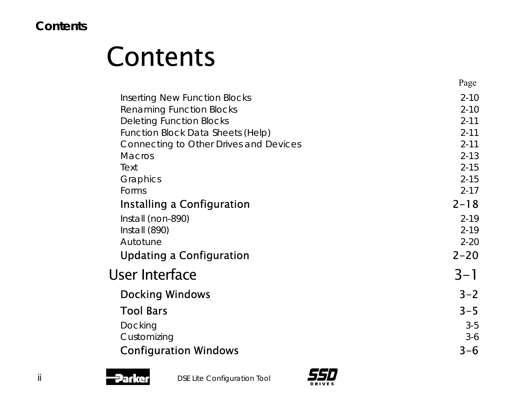ii

|                                               | Page     |
|-----------------------------------------------|----------|
| <b>Inserting New Function Blocks</b>          | $2 - 10$ |
| <b>Renaming Function Blocks</b>               | $2 - 10$ |
| <b>Deleting Function Blocks</b>               | $2 - 11$ |
| Function Block Data Sheets (Help)             | $2 - 11$ |
| <b>Connecting to Other Drives and Devices</b> | $2 - 11$ |
| <b>Macros</b>                                 | $2 - 13$ |
| Text                                          | $2 - 15$ |
| Graphics                                      | $2 - 15$ |
| Forms                                         | $2 - 17$ |
| Installing a Configuration                    | $2 - 18$ |
| $Install (non-890)$                           | $2 - 19$ |
| Install (890)                                 | $2 - 19$ |
| Autotune                                      | $2 - 2C$ |
| <b>Updating a Configuration</b>               | $2 - 20$ |
| User Interface                                | $3 - 1$  |
| <b>Docking Windows</b>                        | $3 - 2$  |
| <b>Tool Bars</b>                              | $3 - 5$  |
| Docking                                       | $3 - 5$  |
| Customizing                                   | $3 - 6$  |
| <b>Configuration Windows</b>                  | 3-6      |
|                                               |          |



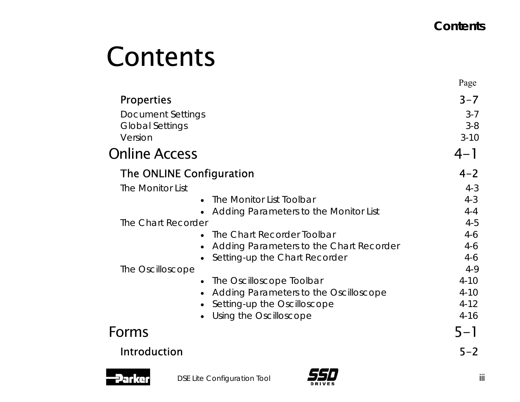|                          |                                         | Page     |
|--------------------------|-----------------------------------------|----------|
| <b>Properties</b>        |                                         | $3 - 7$  |
| Document Settings        |                                         | $3 - 7$  |
| <b>Global Settings</b>   |                                         | $3 - 8$  |
| Version                  |                                         | $3 - 10$ |
| <b>Online Access</b>     |                                         | $4 - 1$  |
| The ONLINE Configuration |                                         | $4 - 2$  |
| The Monitor List         |                                         | $4 - 3$  |
|                          | The Monitor List Toolbar                | $4 - 3$  |
|                          | Adding Parameters to the Monitor List   | $4 - 4$  |
| The Chart Recorder       |                                         | $4 - 5$  |
|                          | The Chart Recorder Toolbar              | $4-6$    |
|                          | Adding Parameters to the Chart Recorder | $4-6$    |
|                          | Setting-up the Chart Recorder           | $4-6$    |
| The Oscilloscope         |                                         | $4 - 9$  |
|                          | The Oscilloscope Toolbar                | $4 - 10$ |
|                          | Adding Parameters to the Oscilloscope   | $4 - 10$ |
|                          | Setting-up the Oscilloscope             | $4 - 12$ |
| $\bullet$                | Using the Oscilloscope                  | $4 - 16$ |
| Forms                    |                                         | $5 - 1$  |
| <b>Introduction</b>      |                                         | $5 - 2$  |



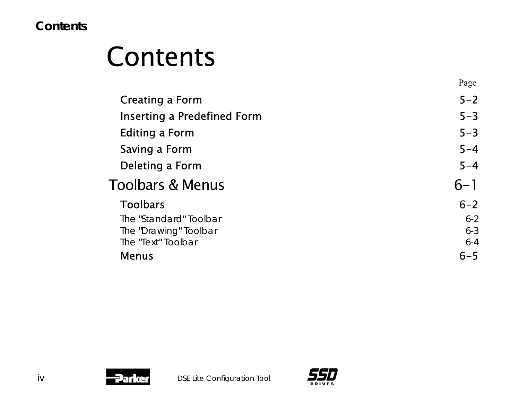|                                    | Page    |
|------------------------------------|---------|
| <b>Creating a Form</b>             | $5 - 2$ |
| <b>Inserting a Predefined Form</b> | $5 - 3$ |
| Editing a Form                     | $5 - 3$ |
| Saving a Form                      | $5 - 4$ |
| Deleting a Form                    | $5 - 4$ |
| Toolbars & Menus                   | $6 - 1$ |
| <b>Toolbars</b>                    | $6 - 2$ |
| The "Standard" Toolbar             | $6 - 2$ |
| The "Drawing" Toolbar              | $6 - 3$ |
| The "Text" Toolbar                 | $6 - 4$ |
| <b>Menus</b>                       | $6 - 5$ |
|                                    |         |



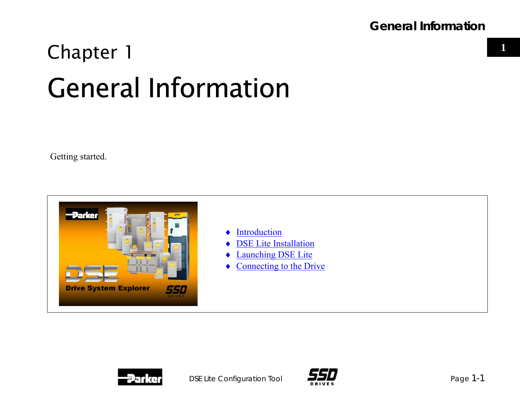#### **General Information**

# **<sup>1</sup>**Chapter 1 General Information

Getting started.



- ♦Introduction
- ♦DSE Lite Installation
- ♦Launching DSE Lite
- ♦Connecting to the Drive



*DSE Lite Configuration Tool* **Page 1-1** 

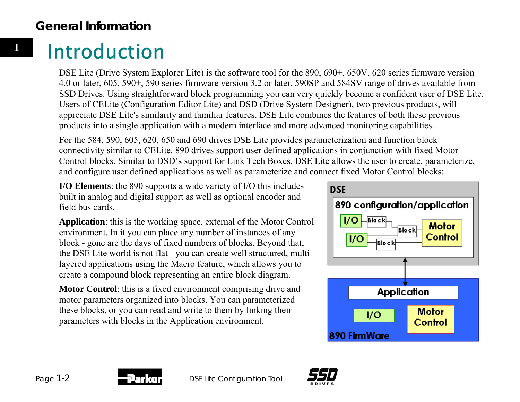#### **General Information**

## **<sup>1</sup>**Introduction

DSE Lite (Drive System Explorer Lite) is the software tool for the 890, 690+, 650V, 620 series firmware version 4.0 or later, 605, 590+, 590 series firmware version 3.2 or later, 590SP and 584SV range of drives available from SSD Drives. Using straightforward block programming you can very quickly become a confident user of DSE Lite. Users of CELite (Configuration Editor Lite) and DSD (Drive System Designer), two previous products, will appreciate DSE Lite's similarity and familiar features. DSE Lite combines the features of both these previous products into a single application with a modern interface and more advanced monitoring capabilities.

For the 584, 590, 605, 620, 650 and 690 drives DSE Lite provides parameterization and function block connectivity similar to CELite. 890 drives support user defined applications in conjunction with fixed Motor Control blocks. Similar to DSD's support for Link Tech Boxes, DSE Lite allows the user to create, parameterize, and configure user defined applications as well as parameterize and connect fixed Motor Control blocks:

**I/O Elements**: the 890 supports a wide variety of I/O this includes built in analog and digital support as well as optional encoder and field bus cards.

**Application**: this is the working space, external of the Motor Control environment. In it you can place any number of instances of any block - gone are the days of fixed numbers of blocks. Beyond that, the DSE Lite world is not flat - you can create well structured, multilayered applications using the Macro feature, which allows you to create a compound block representing an entire block diagram.

**Motor Control**: this is a fixed environment comprising drive and motor parameters organized into blocks. You can parameterized these blocks, or you can read and write to them by linking their parameters with blocks in the Application environment.





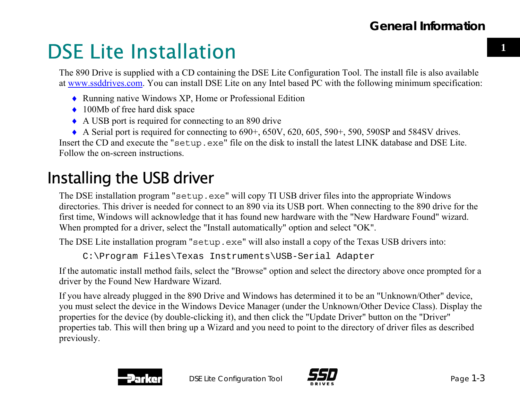## DSE Lite Installation **1**

The 890 Drive is supplied with a CD containing the DSE Lite Configuration Tool. The install file is also available at www.ssddrives.com. You can install DSE Lite on any Intel based PC with the following minimum specification:

- ♦ Running native Windows XP, Home or Professional Edition
- $\triangle$  100Mb of free hard disk space
- ♦ A USB port is required for connecting to an 890 drive

 $\blacklozenge$  A Serial port is required for connecting to 690+, 650V, 620, 605, 590+, 590, 590SP and 584SV drives. Insert the CD and execute the "setup.exe" file on the disk to install the latest LINK database and DSE Lite. Follow the on-screen instructions.

## Installing the USB driver

The DSE installation program "setup.exe" will copy TI USB driver files into the appropriate Windows directories. This driver is needed for connect to an 890 via its USB port. When connecting to the 890 drive for the first time, Windows will acknowledge that it has found new hardware with the "New Hardware Found" wizard. When prompted for a driver, select the "Install automatically" option and select "OK".

The DSE Lite installation program "setup.exe" will also install a copy of the Texas USB drivers into:

C:\Program Files\Texas Instruments\USB-Serial Adapter

If the automatic install method fails, select the "Browse" option and select the directory above once prompted for a driver by the Found New Hardware Wizard.

If you have already plugged in the 890 Drive and Windows has determined it to be an "Unknown/Other" device, you must select the device in the Windows Device Manager (under the Unknown/Other Device Class). Display the properties for the device (by double-clicking it), and then click the "Update Driver" button on the "Driver" properties tab. This will then bring up a Wizard and you need to point to the directory of driver files as described previously.



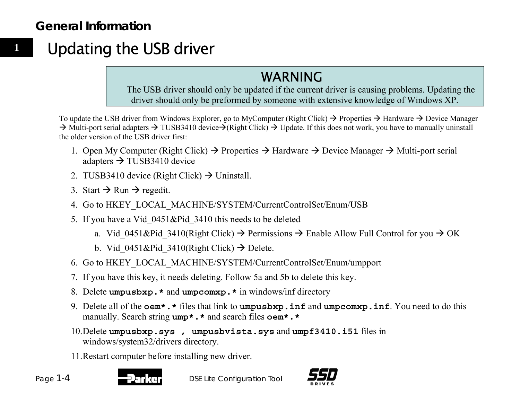#### **General Information**

## **1** Updating the USB driver

## WARNING

The USB driver should only be updated if the current driver is causing problems. Updating the driver should only be preformed by someone with extensive knowledge of Windows XP.

To update the USB driver from Windows Explorer, go to MyComputer (Right Click)  $\rightarrow$  Properties  $\rightarrow$  Hardware  $\rightarrow$  Device Manager A Multi-port serial adapters  $\rightarrow$  TUSB3410 device $\rightarrow$ (Right Click)  $\rightarrow$  Update. If this does not work, you have to manually uninstall the older version of the USB driver first:

- 1. Open My Computer (Right Click)  $\rightarrow$  Properties  $\rightarrow$  Hardware  $\rightarrow$  Device Manager  $\rightarrow$  Multi-port serial adapters  $\rightarrow$  TUSB3410 device
- 2. TUSB3410 device (Right Click)  $\rightarrow$  Uninstall.
- 3. Start  $\rightarrow$  Run  $\rightarrow$  regedit.
- 4. Go to HKEY\_LOCAL\_MACHINE/SYSTEM/CurrentControlSet/Enum/USB
- 5. If you have a Vid\_0451&Pid\_3410 this needs to be deleted
	- a. Vid\_0451&Pid\_3410(Right Click)  $\rightarrow$  Permissions  $\rightarrow$  Enable Allow Full Control for you  $\rightarrow$  OK
	- b. Vid\_0451&Pid\_3410(Right Click)  $\rightarrow$  Delete.
- 6. Go to HKEY\_LOCAL\_MACHINE/SYSTEM/CurrentControlSet/Enum/umpport
- 7. If you have this key, it needs deleting. Follow 5a and 5b to delete this key.
- 8. Delete **umpusbxp.\*** and **umpcomxp.\*** in windows/inf directory
- 9. Delete all of the **oem\*.\*** files that link to **umpusbxp.inf** and **umpcomxp.inf**. You need to do this manually. Search string **ump\*.\*** and search files **oem\*.\***
- 10.Delete **umpusbxp.sys , umpusbvista.sys** and **umpf3410.i51** files in windows/system32/drivers directory.
- 11.Restart computer before installing new driver.



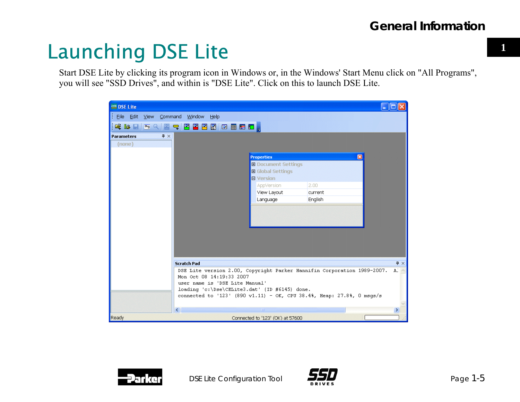## **<sup>1</sup>**Launching DSE Lite

Start DSE Lite by clicking its program icon in Windows or, in the Windows' Start Menu click on "All Programs", you will see "SSD Drives", and within is "DSE Lite". Click on this to launch DSE Lite.

| <b>DSE DSE Lite</b>                |                                                                                               |                                  |                   |                  |
|------------------------------------|-----------------------------------------------------------------------------------------------|----------------------------------|-------------------|------------------|
| Eile Edit View Command Window Help |                                                                                               |                                  |                   |                  |
| 学临日                                | 西公園中田田田田田園田口                                                                                  |                                  |                   |                  |
| $4 \times$<br><b>Parameters</b>    |                                                                                               |                                  |                   |                  |
| (none)                             |                                                                                               |                                  |                   |                  |
|                                    |                                                                                               | <b>Properties</b>                | ⊠                 |                  |
|                                    |                                                                                               | <b>田 Document Settings</b>       |                   |                  |
|                                    |                                                                                               | <b>田 Global Settings</b>         |                   |                  |
|                                    |                                                                                               | <b>E</b> Version                 |                   |                  |
|                                    |                                                                                               | AppVersion                       | 2.00 <sub>1</sub> |                  |
|                                    |                                                                                               | View Layout                      | current           |                  |
|                                    |                                                                                               | Language                         | <b>English</b>    |                  |
|                                    |                                                                                               |                                  |                   |                  |
|                                    |                                                                                               |                                  |                   |                  |
|                                    |                                                                                               |                                  |                   |                  |
|                                    |                                                                                               |                                  |                   |                  |
|                                    |                                                                                               |                                  |                   |                  |
|                                    |                                                                                               |                                  |                   |                  |
|                                    |                                                                                               |                                  |                   |                  |
|                                    | <b>Scratch Pad</b><br>DSE Lite version 2.00, Copyright Parker Hannifin Corporation 1989-2007. |                                  |                   | $4 \times$<br>A. |
|                                    | Mon Oct 08 14:19:33 2007                                                                      |                                  |                   |                  |
|                                    | user name is 'DSE Lite Manual'                                                                |                                  |                   |                  |
|                                    | loading 'c:\Dse\CELite3.dat' (ID #6145) done.                                                 |                                  |                   |                  |
|                                    | connected to '123' (890 v1.11) - OK, CPU 38.4%, Heap: 27.8%, O msqs/s                         |                                  |                   |                  |
|                                    | $\overline{\left( \cdot \right)}$                                                             | <b>THE</b>                       |                   |                  |
| Ready                              |                                                                                               | Connected to '123' (OK) at 57600 |                   |                  |



*DSE Lite Configuration Tool* **Page 1-5** 

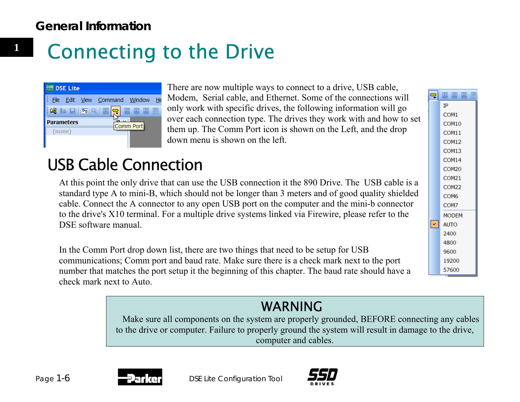#### **General Information**

## **1** Connecting to the Drive

| <b>DSE Lite</b>                |            |   |                                                  |  |    |  |  |
|--------------------------------|------------|---|--------------------------------------------------|--|----|--|--|
| File                           |            |   | Edit <u>V</u> iew <u>C</u> ommand <u>W</u> indow |  | He |  |  |
|                                | Që IS ⊟ ∏™ | ω | œ<br><b>COM</b>                                  |  | ≂  |  |  |
| <b>Parameters</b><br>Comm Port |            |   |                                                  |  |    |  |  |
| (none)                         |            |   |                                                  |  |    |  |  |
|                                |            |   |                                                  |  |    |  |  |

There are now multiple ways to connect to a drive, USB cable, Modem, Serial cable, and Ethernet. Some of the connections will only work with specific drives, the following information will go over each connection type. The drives they work with and how to set them up. The Comm Port icon is shown on the Left, and the drop down menu is shown on the left.

## USB Cable Connection

At this point the only drive that can use the USB connection it the 890 Drive. The USB cable is a standard type A to mini-B, which should not be longer than 3 meters and of good quality shielded cable. Connect the A connector to any open USB port on the computer and the mini-b connector to the drive's X10 terminal. For a multiple drive systems linked via Firewire, please refer to the DSE software manual.

In the Comm Port drop down list, there are two things that need to be setup for USB communications; Comm port and baud rate. Make sure there is a check mark next to the port number that matches the port setup it the beginning of this chapter. The baud rate should have a check mark next to Auto.

**WARNING** 

Make sure all components on the system are properly grounded, BEFORE connecting any cables to the drive or computer. Failure to properly ground the system will result in damage to the drive, computer and cables.





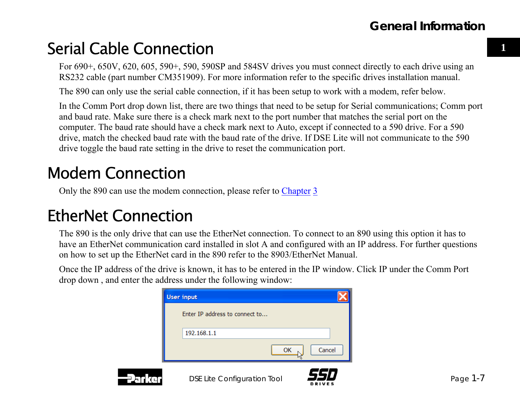## Serial Cable Connection **1 1 1**

For 690+, 650V, 620, 605, 590+, 590, 590SP and 584SV drives you must connect directly to each drive using an RS232 cable (part number CM351909). For more information refer to the specific drives installation manual.

The 890 can only use the serial cable connection, if it has been setup to work with a modem, refer below.

In the Comm Port drop down list, there are two things that need to be setup for Serial communications; Comm port and baud rate. Make sure there is a check mark next to the port number that matches the serial port on the computer. The baud rate should have a check mark next to Auto, except if connected to a 590 drive. For a 590 drive, match the checked baud rate with the baud rate of the drive. If DSE Lite will not communicate to the 590 drive toggle the baud rate setting in the drive to reset the communication port.

## Modem Connection

Only the 890 can use the modem connection, please refer to Chapter 3

## EtherNet Connection

The 890 is the only drive that can use the EtherNet connection. To connect to an 890 using this option it has to have an EtherNet communication card installed in slot A and configured with an IP address. For further questions on how to set up the EtherNet card in the 890 refer to the 8903/EtherNet Manual.

Once the IP address of the drive is known, it has to be entered in the IP window. Click IP under the Comm Port drop down , and enter the address under the following window:

| <b>User input</b>              |              |
|--------------------------------|--------------|
| Enter IP address to connect to |              |
|                                |              |
| 192.168.1.1                    |              |
|                                | Cancel<br>OK |





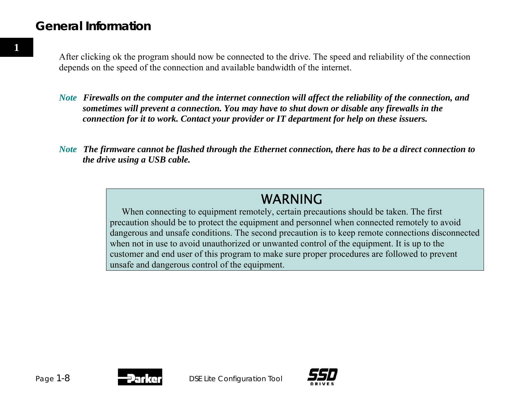#### **General Information**

- *Note Firewalls on the computer and the internet connection will affect the reliability of the connection, and sometimes will prevent a connection. You may have to shut down or disable any firewalls in the connection for it to work. Contact your provider or IT department for help on these issuers.*
- *Note The firmware cannot be flashed through the Ethernet connection, there has to be a direct connection to the drive using a USB cable.*

#### WARNING

When connecting to equipment remotely, certain precautions should be taken. The first precaution should be to protect the equipment and personnel when connected remotely to avoid dangerous and unsafe conditions. The second precaution is to keep remote connections disconnected when not in use to avoid unauthorized or unwanted control of the equipment. It is up to the customer and end user of this program to make sure proper procedures are followed to prevent unsafe and dangerous control of the equipment.



Page 1-8 *Download Configuration Tool DSE Lite Configuration Tool* 

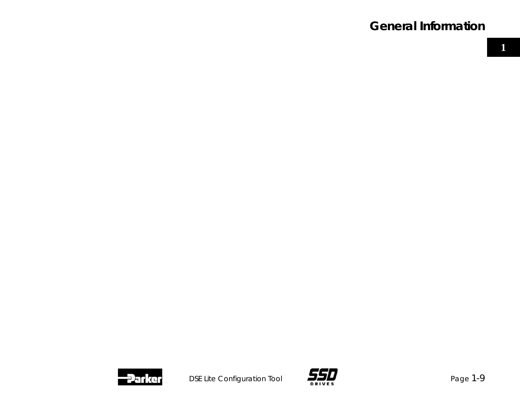#### **General Information**



*Data Configuration Tool* Page 1-9

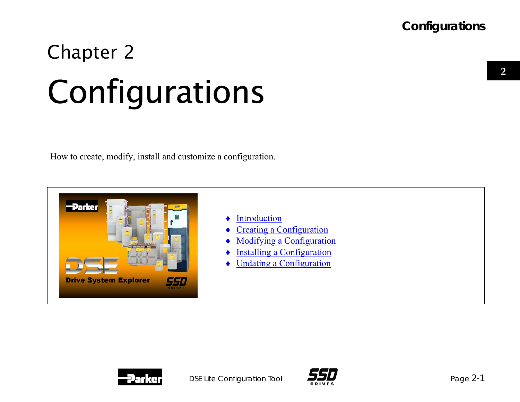# Chapter 2 Configurations

How to create, modify, install and customize a configuration.



- ♦Introduction
- ♦Creating a Configuration
- ♦Modifying a Configuration
- ♦Installing a Configuration
- ♦Updating a Configuration



*DSE Lite Configuration Tool* **Page 2-1** 

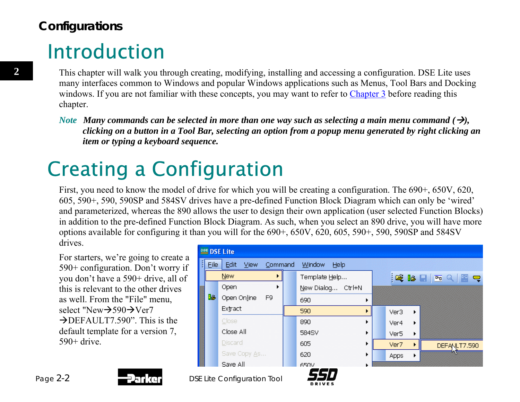## Introduction

This chapter will walk you through creating, modifying, installing and accessing a configuration. DSE Lite uses many interfaces common to Windows and popular Windows applications such as Menus, Tool Bars and Docking windows. If you are not familiar with these concepts, you may want to refer to Chapter 3 before reading this chapter.

*Note Many commands can be selected in more than one way such as selecting a main menu command (* $\rightarrow$ *), clicking on a button in a Tool Bar, selecting an option from a popup menu generated by right clicking an item or typing a keyboard sequence.* 

## Creating a Configuration

First, you need to know the model of drive for which you will be creating a configuration. The 690+, 650V, 620, 605, 590+, 590, 590SP and 584SV drives have a pre-defined Function Block Diagram which can only be 'wired' and parameterized, whereas the 890 allows the user to design their own application (user selected Function Blocks) in addition to the pre-defined Function Block Diagram. As such, when you select an 890 drive, you will have more options available for configuring it than you will for the 690+, 650V, 620, 605, 590+, 590, 590SP and 584SV drives.

For starters, we're going to create a 590+ configuration. Don't worry if you don't have a 590+ drive, all of this is relevant to the other drives as well. From the "File" menu, select "New $\rightarrow$ 590 $\rightarrow$ Ver7  $\rightarrow$ DEFAULT7.590". This is the default template for a version 7,  $590+$  drive.

| <b>DSE DSE Lite</b> |                               |  |                   |   |  |      |   |                |
|---------------------|-------------------------------|--|-------------------|---|--|------|---|----------------|
| Eile                | Edit View<br>Command          |  | Window<br>Help    |   |  |      |   |                |
|                     | New                           |  | Template Help     |   |  |      |   | <b>EBHFQBQ</b> |
|                     | Open                          |  | New Dialog Ctrl+N |   |  |      |   |                |
| le.                 | Open Online<br>F <sub>9</sub> |  | 690               | r |  |      |   |                |
|                     | Extract                       |  | 590               | r |  | Ver3 | ٠ |                |
|                     | Close                         |  | 890               | ١ |  | Ver4 | ١ |                |
|                     | Close All                     |  | 584SV             | r |  | Ver5 | ▶ |                |
|                     | Discard                       |  | 605               | ▶ |  | Ver7 | ٠ | DEFANLT7.590   |
|                     | Save Copy As                  |  | 620               | ۱ |  | Apps | ١ |                |
|                     | Save All                      |  | 650V              |   |  |      |   |                |

Page 2-2 **Decision 2-1 Page 2-2 DSE Lite Configuration Tool** 



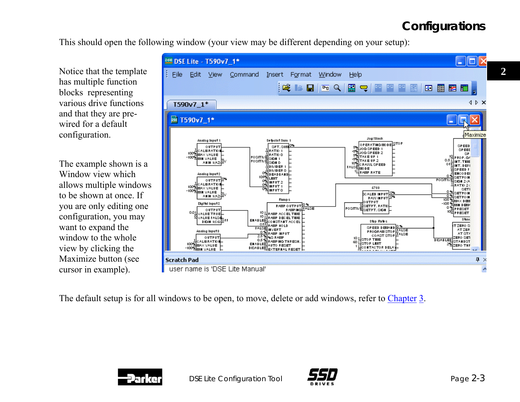This should open the following window (your view may be different depending on your setup):

Notice that the template has multiple function blocks representing various drive functions and that they are prewired for a default configuration.

The example shown is a Window view which allows multiple windows to be shown at once. If you are only editing one configuration, you may want to expand the window to the whole view by clicking the Maximize button (see cursor in example).



The default setup is for all windows to be open, to move, delete or add windows, refer to Chapter 3.



 *DSE Lite Configuration Tool Page 2-3*

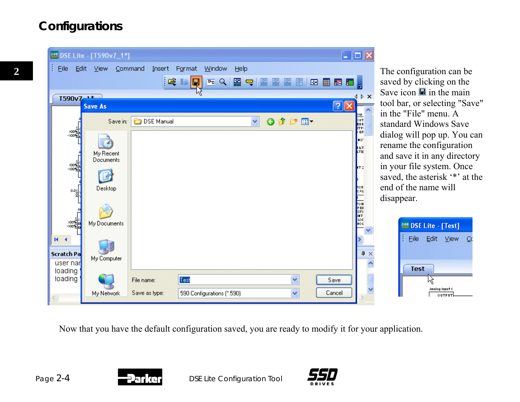

Now that you have the default configuration saved, you are ready to modify it for your application.



Page 2-4 **Definition** DSE Lite Configuration Tool

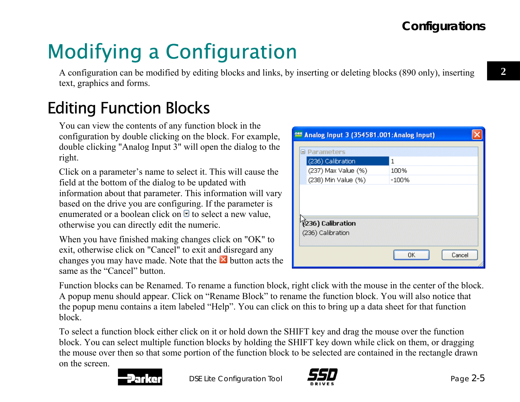**2** 

## Modifying a Configuration

A configuration can be modified by editing blocks and links, by inserting or deleting blocks (890 only), inserting text, graphics and forms.

## Editing Function Blocks

You can view the contents of any function block in the configuration by double clicking on the block. For example, double clicking "Analog Input 3" will open the dialog to the right.

Click on a parameter's name to select it. This will cause the field at the bottom of the dialog to be updated with information about that parameter. This information will vary based on the drive you are configuring. If the parameter is enumerated or a boolean click on  $\overline{\bullet}$  to select a new value, otherwise you can directly edit the numeric.

When you have finished making changes click on "OK" to exit, otherwise click on "Cancel" to exit and disregard any changes you may have made. Note that the  $\blacksquare$  button acts the same as the "Cancel" button.

| <sup>955</sup> Analog Input 3 (354581.001: Analog Input) |         |        |
|----------------------------------------------------------|---------|--------|
| $\blacksquare$ Parameters                                |         |        |
| (236) Calibration                                        | 1       |        |
| (237) Max Value (%)                                      | 100%    |        |
| (238) Min Value (%)                                      | $-100%$ |        |
| \$236) Calibration<br>(236) Calibration                  |         |        |
|                                                          | OΚ      | Cancel |

Function blocks can be Renamed. To rename a function block, right click with the mouse in the center of the block. A popup menu should appear. Click on "Rename Block" to rename the function block. You will also notice that the popup menu contains a item labeled "Help". You can click on this to bring up a data sheet for that function block.

To select a function block either click on it or hold down the SHIFT key and drag the mouse over the function block. You can select multiple function blocks by holding the SHIFT key down while click on them, or dragging the mouse over then so that some portion of the function block to be selected are contained in the rectangle drawn on the screen.



*DSE Lite Configuration Tool*  $\Box$ 

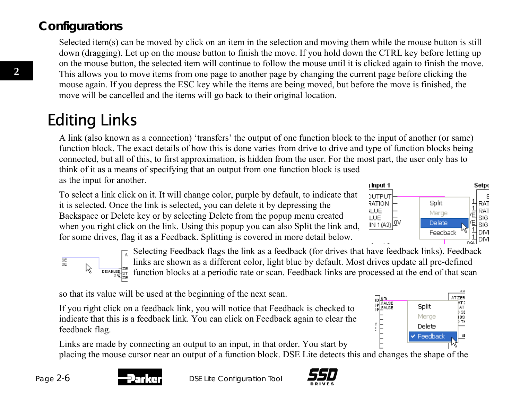Selected item(s) can be moved by click on an item in the selection and moving them while the mouse button is still down (dragging). Let up on the mouse button to finish the move. If you hold down the CTRL key before letting up on the mouse button, the selected item will continue to follow the mouse until it is clicked again to finish the move. This allows you to move items from one page to another page by changing the current page before clicking the mouse again. If you depress the ESC key while the items are being moved, but before the move is finished, the move will be cancelled and the items will go back to their original location.

## Editing Links

A link (also known as a connection) 'transfers' the output of one function block to the input of another (or same) function block. The exact details of how this is done varies from drive to drive and type of function blocks being connected, but all of this, to first approximation, is hidden from the user. For the most part, the user only has to think of it as a means of specifying that an output from one function block is used as the input for another.

To select a link click on it. It will change color, purple by default, to indicate that it is selected. Once the link is selected, you can delete it by depressing the Backspace or Delete key or by selecting Delete from the popup menu created when you right click on the link. Using this popup you can also Split the link and, for some drives, flag it as a Feedback. Splitting is covered in more detail below.

> $\frac{1}{4}$  Selecting Feedback flags the link as a feedback (for drives that have feedback links). Feedback links are shown as a different color, light blue by default. Most drives update all pre-defined **DEABLED**  $\frac{2\pi}{2}$  function blocks at a periodic rate or scan. Feedback links are processed at the end of that scan

so that its value will be used at the beginning of the next scan.

If you right click on a feedback link, you will notice that Feedback is checked to indicate that this is a feedback link. You can click on Feedback again to clear the feedback flag.

Links are made by connecting an output to an input, in that order. You start by Ņ4 placing the mouse cursor near an output of a function block. DSE Lite detects this and changes the shape of the









Page 2-6 **Page 2-6 DSE Lite Configuration Tool** 

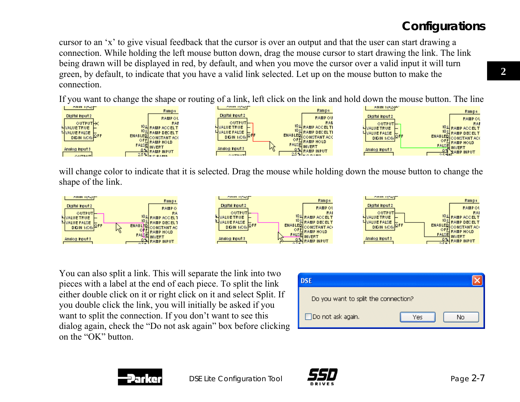cursor to an 'x' to give visual feedback that the cursor is over an output and that the user can start drawing a connection. While holding the left mouse button down, drag the mouse cursor to start drawing the link. The link being drawn will be displayed in red, by default, and when you move the cursor over a valid input it will turn green, by default, to indicate that you have a valid link selected. Let up on the mouse button to make the connection.

If you want to change the shape or routing of a link, left click on the link and hold down the mouse button. The line



will change color to indicate that it is selected. Drag the mouse while holding down the mouse button to change the shape of the link.



You can also split a link. This will separate the link into two pieces with a label at the end of each piece. To split the link either double click on it or right click on it and select Split. If you double click the link, you will initially be asked if you want to split the connection. If you don't want to see this dialog again, check the "Do not ask again" box before clicking on the "OK" button.





*DSE Lite Configuration Tool*  $\Box$ 

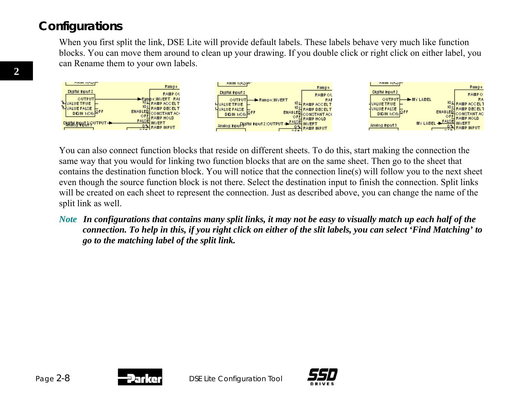When you first split the link, DSE Lite will provide default labels. These labels behave very much like function blocks. You can move them around to clean up your drawing. If you double click or right click on either label, you can Rename them to your own labels.



You can also connect function blocks that reside on different sheets. To do this, start making the connection the same way that you would for linking two function blocks that are on the same sheet. Then go to the sheet that contains the destination function block. You will notice that the connection line(s) will follow you to the next sheet even though the source function block is not there. Select the destination input to finish the connection. Split links will be created on each sheet to represent the connection. Just as described above, you can change the name of the split link as well.

*Note In configurations that contains many split links, it may not be easy to visually match up each half of the connection. To help in this, if you right click on either of the slit labels, you can select 'Find Matching' to go to the matching label of the split link.* 



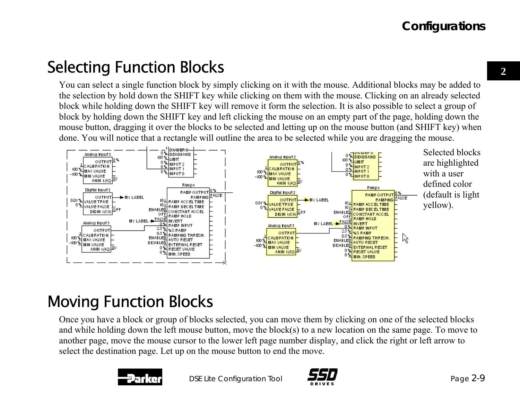## Selecting Function Blocks **<sup>2</sup>**

You can select a single function block by simply clicking on it with the mouse. Additional blocks may be added to the selection by hold down the SHIFT key while clicking on them with the mouse. Clicking on an already selected block while holding down the SHIFT key will remove it form the selection. It is also possible to select a group of block by holding down the SHIFT key and left clicking the mouse on an empty part of the page, holding down the mouse button, dragging it over the blocks to be selected and letting up on the mouse button (and SHIFT key) when done. You will notice that a rectangle will outline the area to be selected while you are dragging the mouse.



## Moving Function Blocks

Once you have a block or group of blocks selected, you can move them by clicking on one of the selected blocks and while holding down the left mouse button, move the block(s) to a new location on the same page. To move to another page, move the mouse cursor to the lower left page number display, and click the right or left arrow to select the destination page. Let up on the mouse button to end the move.



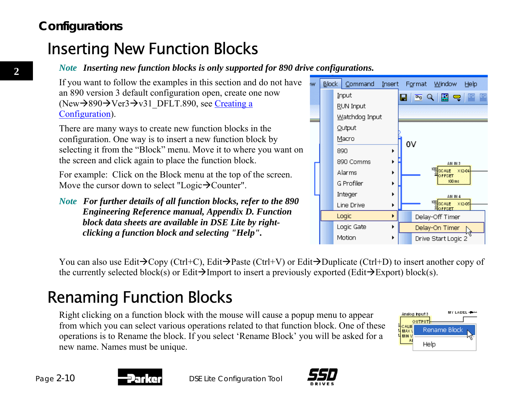## Inserting New Function Blocks

#### *Note Inserting new function blocks is only supported for 890 drive configurations.*

If you want to follow the examples in this section and do not have an 890 version 3 default configuration open, create one now (New $\rightarrow$ 890 $\rightarrow$ Ver3 $\rightarrow$ v31 DFLT.890, see Creating a Configuration).

There are many ways to create new function blocks in the configuration. One way is to insert a new function block by selecting it from the "Block" menu. Move it to where you want on the screen and click again to place the function block.

For example: Click on the Block menu at the top of the screen. Move the cursor down to select "Logic $\rightarrow$ Counter".

*Note For further details of all function blocks, refer to the 890 Engineering Reference manual, Appendix D. Function block data sheets are available in DSE Lite by rightclicking a function block and selecting "Help".* 



You can also use Edit $\rightarrow$ Copy (Ctrl+C), Edit $\rightarrow$ Paste (Ctrl+V) or Edit $\rightarrow$ Duplicate (Ctrl+D) to insert another copy of the currently selected block(s) or Edit $\rightarrow$ Import to insert a previously exported (Edit $\rightarrow$ Export) block(s).

## Renaming Function Blocks

Right clicking on a function block with the mouse will cause a popup menu to appear from which you can select various operations related to that function block. One of these operations is to Rename the block. If you select 'Rename Block' you will be asked for a new name. Names must be unique.





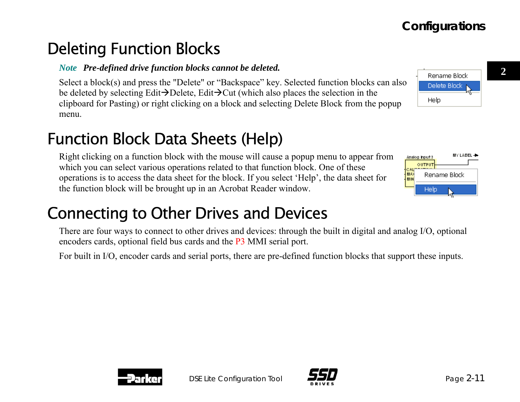## Deleting Function Blocks

#### *Note Pre-defined drive function blocks cannot be deleted.*

Select a block(s) and press the "Delete" or "Backspace" key. Selected function blocks can also be deleted by selecting Edit $\rightarrow$ Delete, Edit $\rightarrow$ Cut (which also places the selection in the clipboard for Pasting) or right clicking on a block and selecting Delete Block from the popup menu.

## Function Block Data Sheets (Help)

Right clicking on a function block with the mouse will cause a popup menu to appear from which you can select various operations related to that function block. One of these operations is to access the data sheet for the block. If you select 'Help', the data sheet for the function block will be brought up in an Acrobat Reader window.

## Connecting to Other Drives and Devices

There are four ways to connect to other drives and devices: through the built in digital and analog I/O, optional encoders cards, optional field bus cards and the P3 MMI serial port.

For built in I/O, encoder cards and serial ports, there are pre-defined function blocks that support these inputs.



**2** 





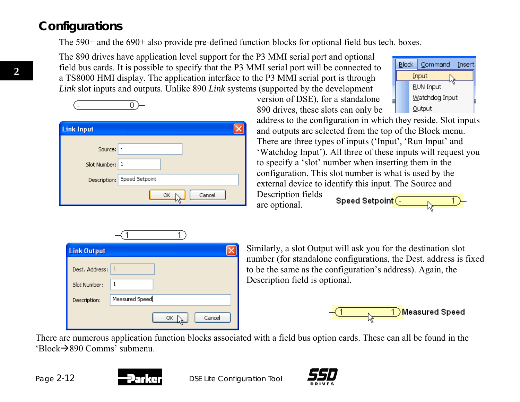**Link Output** 

Dest. Address:

Slot Number:

Description:

The 590+ and the 690+ also provide pre-defined function blocks for optional field bus tech. boxes.

The 890 drives have application level support for the P3 MMI serial port and optional field bus cards. It is possible to specify that the P3 MMI serial port will be connected to a TS8000 HMI display. The application interface to the P3 MMI serial port is through *Link* slot inputs and outputs. Unlike 890 *Link* systems (supported by the development

| <b>Link Input</b>                                        |
|----------------------------------------------------------|
| Source:<br>$\overline{\phantom{0}}$<br>Slot Number:<br>1 |
| Description: Speed Setpoint                              |
| Cancel<br>OK                                             |

1.

 $OK$ 

version of DSE), for a standalone 890 drives, these slots can only be

| <b>Block</b> | Command<br>Insert |
|--------------|-------------------|
|              | Input             |
|              | RUN Input         |
|              | Watchdog Input    |
|              | <b>Qutput</b>     |

address to the configuration in which they reside. Slot inputs and outputs are selected from the top of the Block menu. There are three types of inputs ('Input', 'Run Input' and 'Watchdog Input'). All three of these inputs will request you to specify a 'slot' number when inserting them in the configuration. This slot number is what is used by the external device to identify this input. The Source and Description fields Speed

are optional.

| Setpoint ( |  |  |
|------------|--|--|
|            |  |  |
|            |  |  |
|            |  |  |

Similarly, a slot Output will ask you for the destination slot number (for standalone configurations, the Dest. address is fixed to be the same as the configuration's address). Again, the Description field is optional.



There are numerous application function blocks associated with a field bus option cards. These can all be found in the  $'Block \rightarrow 890$  Comms' submenu.



Measured Speed

Page 2-12 **Definition** DSE Lite Configuration Tool

 $\mathsf{x}$ 

Cancel

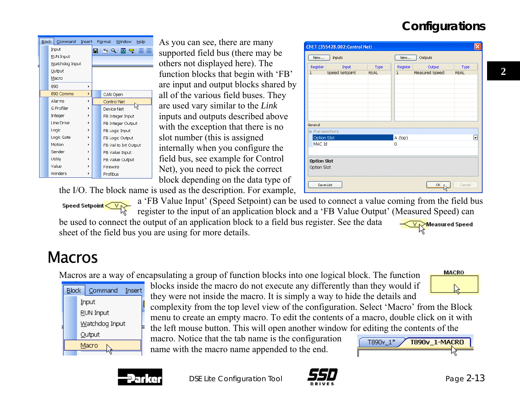**2** 

|  |                  |   | Block Command Insert Format Window<br>Help             |
|--|------------------|---|--------------------------------------------------------|
|  | Input            |   | $\blacksquare$ mo $\blacksquare$ is the $\blacksquare$ |
|  | <b>RUN Input</b> |   |                                                        |
|  | Watchdog Input   |   |                                                        |
|  | <b>Qutput</b>    |   |                                                        |
|  | Macro            |   |                                                        |
|  | 890              | ١ |                                                        |
|  | 890 Comms        | ٠ | CAN Open                                               |
|  | Alarms           | ١ | Control Net                                            |
|  | G Profiler       | ١ | Device Net                                             |
|  | Integer          | ٠ | FB Integer Input                                       |
|  | Line Drive       |   | FB Integer Output                                      |
|  | Logic            | k | FB Logic Input                                         |
|  | Logic Gate       | Þ | FB Logic Output                                        |
|  | Motion           | ٠ | FB Val to Int Output                                   |
|  | Sender           | ٠ | FB Value Input                                         |
|  | Utility          | ٠ | FB Value Output                                        |
|  | Value            | ٠ | Firewire                                               |
|  | Winders          |   | Profibus                                               |

As you can see, there are many supported field bus (there may be others not displayed here). The function blocks that begin with 'FB' are input and output blocks shared by all of the various field buses. They are used vary similar to the *Link* inputs and outputs described above with the exception that there is no slot number (this is assigned internally when you configure the field bus, see example for Control Net), you need to pick the correct block depending on the data type of

|                     | CNET (355428.002:Control Net) |             |              |                |             |
|---------------------|-------------------------------|-------------|--------------|----------------|-------------|
| New                 | Inputs                        |             | New          | Outputs        |             |
| Register            | Input                         | Type        | Register     | Output         | Type        |
| $\mathbf 1$         | <b>Speed Setpoint</b>         | <b>REAL</b> | $\mathbf{1}$ | Measured Speed | <b>REAL</b> |
|                     |                               |             |              |                |             |
|                     |                               |             |              |                |             |
|                     |                               |             |              |                |             |
|                     |                               |             |              |                |             |
|                     |                               |             |              |                |             |
|                     |                               |             |              |                |             |
| General             |                               |             |              |                |             |
| <b>E</b> Parameters |                               |             |              |                |             |
| Option Slot         |                               |             | A (top)      |                | E           |
| MAC Id              |                               |             | 0            |                |             |
|                     |                               |             |              |                |             |
| <b>Option Slot</b>  |                               |             |              |                |             |
| Option Slot         |                               |             |              |                |             |
|                     |                               |             |              |                |             |
| Save List           |                               |             |              | OK             | Cancel      |
|                     |                               |             |              |                |             |

the I/O. The block name is used as the description. For example,

<sup>a</sup>'FB Value Input' (Speed Setpoint) can be used to connect a value coming from the field bus Speed Setpoint register to the input of an application block and a 'FB Value Output' (Measured Speed) can be used to connect the output of an application block to a field bus register. See the data  $\sqrt{\sqrt{}}$ Measured Speed

sheet of the field bus you are using for more details.

## **Macros**

Macros are a way of encapsulating a group of function blocks into one logical block. The function



blocks inside the macro do not execute any differently than they would if they were not inside the macro. It is simply a way to hide the details and

complexity from the top level view of the configuration. Select 'Macro' from the Block menu to create an empty macro. To edit the contents of a macro, double click on it with the left mouse button. This will open another window for editing the contents of the

macro. Notice that the tab name is the configuration name with the macro name appended to the end.





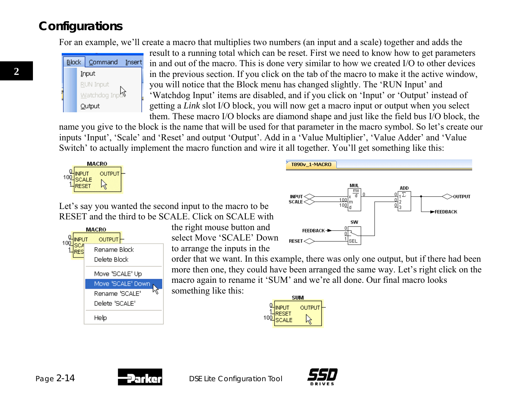For an example, we'll create a macro that multiplies two numbers (an input and a scale) together and adds the



result to a running total which can be reset. First we need to know how to get parameters in and out of the macro. This is done very similar to how we created I/O to other devices in the previous section. If you click on the tab of the macro to make it the active window, you will notice that the Block menu has changed slightly. The 'RUN Input' and 'Watchdog Input' items are disabled, and if you click on 'Input' or 'Output' instead of getting a *Link* slot I/O block, you will now get a macro input or output when you select them. These macro I/O blocks are diamond shape and just like the field bus I/O block, the

T890v 1-MACRO

**FFFDBACK** 

**INPUT** 

**SCALE** 

 $ResET$ 

name you give to the block is the name that will be used for that parameter in the macro symbol. So let's create our inputs 'Input', 'Scale' and 'Reset' and output 'Output'. Add in a 'Value Multiplier', 'Value Adder' and 'Value Switch' to actually implement the macro function and wire it all together. You'll get something like this:

| MACRO           |                        |        |  |  |
|-----------------|------------------------|--------|--|--|
| 10 <sup>2</sup> | PUT.<br>۵Ï<br>E<br>- 1 | OUTPUT |  |  |

Let's say you wanted the second input to the macro to be RESET and the third to be SCALE. Click on SCALE with



the right mouse button and select Move 'SCALE' Down to arrange the inputs in the

order that we want. In this example, there was only one output, but if there had been more then one, they could have been arranged the same way. Let's right click on the macro again to rename it 'SUM' and we're all done. Our final macro looks something like this:

**MUL** 

 $\overline{mx}$ 

ਰ

SW  $0$ 

łm.  $\frac{1}{100}$ 

 $100$ 

0

<u> 4</u>sel

**ADD** 

 $>$ output

**-FEEDBACK** 

 $\overline{12}$ 

의3.









**2**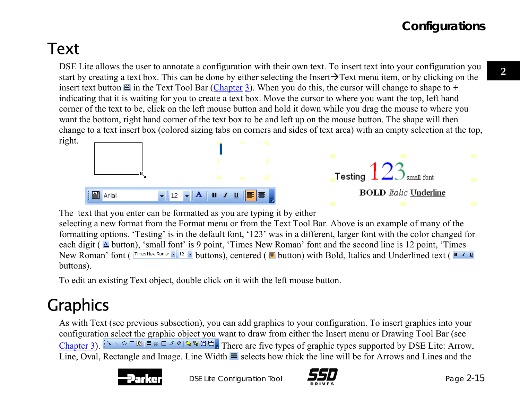## Text

DSE Lite allows the user to annotate a configuration with their own text. To insert text into your configuration you start by creating a text box. This can be done by either selecting the Insert $\rightarrow$ Text menu item, or by clicking on the insert text button  $\blacksquare$  in the Text Tool Bar (Chapter 3). When you do this, the cursor will change to shape to + indicating that it is waiting for you to create a text box. Move the cursor to where you want the top, left hand corner of the text to be, click on the left mouse button and hold it down while you drag the mouse to where you want the bottom, right hand corner of the text box to be and left up on the mouse button. The shape will then change to a text insert box (colored sizing tabs on corners and sides of text area) with an empty selection at the top, right.



The text that you enter can be formatted as you are typing it by either

selecting a new format from the Format menu or from the Text Tool Bar. Above is an example of many of the formatting options. 'Testing' is in the default font, '123' was in a different, larger font with the color changed for each digit ( $\triangle$  button), 'small font' is 9 point, 'Times New Roman' font and the second line is 12 point, 'Times New Roman' font ( $\frac{|\text{Time New Roman}}{B}$   $\frac{|\text{12} \cdot \text{H}}{B}$  buttons), centered ( $\boxed{B}$  button) with Bold, Italics and Underlined text ( $\boxed{B I \quad \text{H}}$ buttons).

To edit an existing Text object, double click on it with the left mouse button.

## **Graphics**

As with Text (see previous subsection), you can add graphics to your configuration. To insert graphics into your configuration select the graphic object you want to draw from either the Insert menu or Drawing Tool Bar (see Chapter 3).  $\frac{1}{2} \times \frac{1}{2}$  There are five types of graphic types supported by DSE Lite: Arrow, Line, Oval, Rectangle and Image. Line Width  $\equiv$  selects how thick the line will be for Arrows and Lines and the



*DSE Lite Configuration Tool*  $\Box$ 

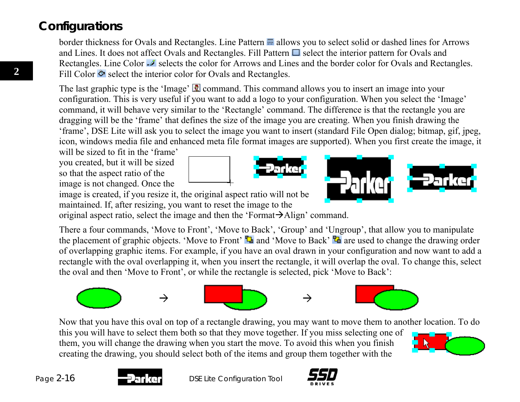border thickness for Ovals and Rectangles. Line Pattern  $\equiv$  allows you to select solid or dashed lines for Arrows and Lines. It does not affect Ovals and Rectangles. Fill Pattern  $\Box$  select the interior pattern for Ovals and Rectangles. Line Color  $\mathcal{I}$  selects the color for Arrows and Lines and the border color for Ovals and Rectangles. Fill Color  $\Diamond$  select the interior color for Ovals and Rectangles.

The last graphic type is the 'Image'  $\blacksquare$  command. This command allows you to insert an image into your configuration. This is very useful if you want to add a logo to your configuration. When you select the 'Image' command, it will behave very similar to the 'Rectangle' command. The difference is that the rectangle you are dragging will be the 'frame' that defines the size of the image you are creating. When you finish drawing the 'frame', DSE Lite will ask you to select the image you want to insert (standard File Open dialog; bitmap, gif, jpeg, icon, windows media file and enhanced meta file format images are supported). When you first create the image, it

will be sized to fit in the 'frame' you created, but it will be sized so that the aspect ratio of the image is not changed. Once the

image is created, if you resize it, the original aspect ratio will not be maintained. If, after resizing, you want to reset the image to the

original aspect ratio, select the image and then the 'Format $\rightarrow$ Align' command.

There a four commands, 'Move to Front', 'Move to Back', 'Group' and 'Ungroup', that allow you to manipulate the placement of graphic objects. 'Move to Front'  $\Box$  and 'Move to Back'  $\Box$  are used to change the drawing order of overlapping graphic items. For example, if you have an oval drawn in your configuration and now want to add a rectangle with the oval overlapping it, when you insert the rectangle, it will overlap the oval. To change this, select the oval and then 'Move to Front', or while the rectangle is selected, pick 'Move to Back':



them, you will change the drawing when you start the move. To avoid this when you finish creating the drawing, you should select both of the items and group them together with the





Page 2-16 **Decision 2-11 CALC** *DSE Lite Configuration Tool* 





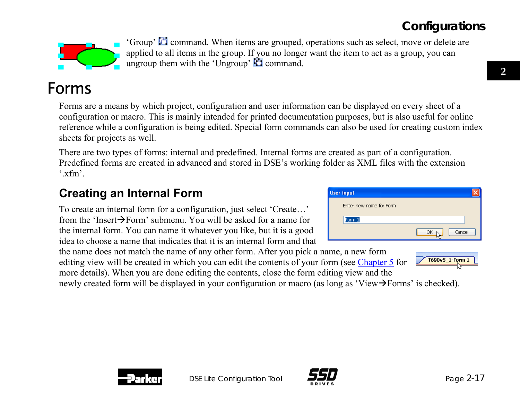

'Group'  $\Box$  command. When items are grouped, operations such as select, move or delete are applied to all items in the group. If you no longer want the item to act as a group, you can ungroup them with the 'Ungroup'  $\Box$  command.

## Forms

Forms are a means by which project, configuration and user information can be displayed on every sheet of a configuration or macro. This is mainly intended for printed documentation purposes, but is also useful for online reference while a configuration is being edited. Special form commands can also be used for creating custom index sheets for projects as well.

There are two types of forms: internal and predefined. Internal forms are created as part of a configuration. Predefined forms are created in advanced and stored in DSE's working folder as XML files with the extension  $\cdot$  xfm'.

### **Creating an Internal Form**

To create an internal form for a configuration, just select 'Create…' from the 'Insert $\rightarrow$ Form' submenu. You will be asked for a name for the internal form. You can name it whatever you like, but it is a good idea to choose a name that indicates that it is an internal form and that

the name does not match the name of any other form. After you pick a name, a new form editing view will be created in which you can edit the contents of your form (see Chapter 5 for more details). When you are done editing the contents, close the form editing view and the

T690v5 1-Form 1

newly created form will be displayed in your configuration or macro (as long as 'View $\rightarrow$ Forms' is checked).





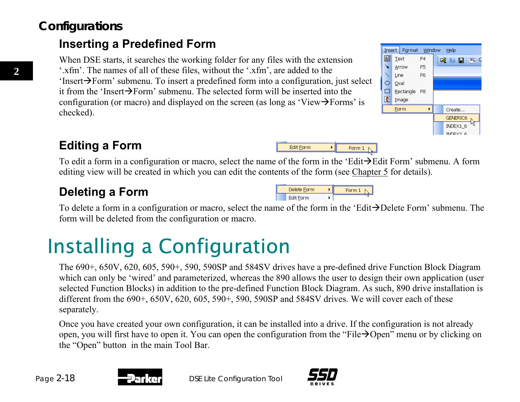#### **Inserting a Predefined Form**

When DSE starts, it searches the working folder for any files with the extension

'.xfm'. The names of all of these files, without the '.xfm', are added to the 'Insert $\rightarrow$ Form' submenu. To insert a predefined form into a configuration, just select it from the 'Insert $\rightarrow$ Form' submenu. The selected form will be inserted into the configuration (or macro) and displayed on the screen (as long as 'View $\rightarrow$ Forms' is checked).

### **Editing a Form**

To edit a form in a configuration or macro, select the name of the form in the 'Edit $\rightarrow$ Edit Form' submenu. A form editing view will be created in which you can edit the contents of the form (see Chapter 5 for details).

Edit Form

### **Deleting a Form**

| Delete Form | Form 1 |
|-------------|--------|
| Edit Form   |        |
|             |        |

Form 1

To delete a form in a configuration or macro, select the name of the form in the 'Edit $\rightarrow$ Delete Form' submenu. The form will be deleted from the configuration or macro.

## Installing a Configuration

The 690+, 650V, 620, 605, 590+, 590, 590SP and 584SV drives have a pre-defined drive Function Block Diagram which can only be 'wired' and parameterized, whereas the 890 allows the user to design their own application (user selected Function Blocks) in addition to the pre-defined Function Block Diagram. As such, 890 drive installation is different from the 690+, 650V, 620, 605, 590+, 590, 590SP and 584SV drives. We will cover each of these separately.

Once you have created your own configuration, it can be installed into a drive. If the configuration is not already open, you will first have to open it. You can open the configuration from the "File $\rightarrow$ Open" menu or by clicking on the "Open" button in the main Tool Bar.





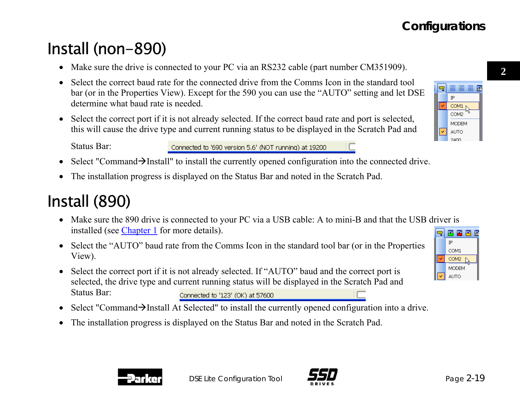## Install (non-890)

- $\bullet$ Make sure the drive is connected to your PC via an RS232 cable (part number CM351909).
- • Select the correct baud rate for the connected drive from the Comms Icon in the standard tool bar (or in the Properties View). Except for the 590 you can use the "AUTO" setting and let DSE determine what baud rate is needed.
- $\bullet$  Select the correct port if it is not already selected. If the correct baud rate and port is selected, this will cause the drive type and current running status to be displayed in the Scratch Pad and

Status Bar:

Connected to '690 version 5.6' (NOT running) at 19200

- •Select "Command $\rightarrow$ Install" to install the currently opened configuration into the connected drive.
- $\bullet$ The installation progress is displayed on the Status Bar and noted in the Scratch Pad.

## Install (890)

- Make sure the 890 drive is connected to your PC via a USB cable: A to mini-B and that the USB driver is installed (see Chapter 1 for more details).
- Select the "AUTO" baud rate from the Comms Icon in the standard tool bar (or in the Properties View).
- Select the correct port if it is not already selected. If "AUTO" baud and the correct port is selected, the drive type and current running status will be displayed in the Scratch Pad and Status Bar: Connected to '123' (OK) at 57600
- •Select "Command $\rightarrow$ Install At Selected" to install the currently opened configuration into a drive.
- •The installation progress is displayed on the Status Bar and noted in the Scratch Pad.

**2** 

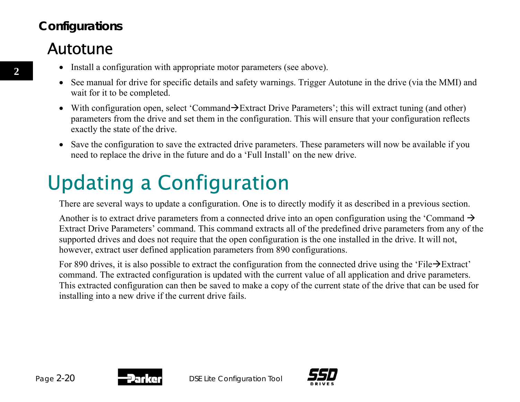## Autotune

- Install a configuration with appropriate motor parameters (see above).
- See manual for drive for specific details and safety warnings. Trigger Autotune in the drive (via the MMI) and wait for it to be completed.
- With configuration open, select 'Command $\rightarrow$ Extract Drive Parameters'; this will extract tuning (and other) parameters from the drive and set them in the configuration. This will ensure that your configuration reflects exactly the state of the drive.
- Save the configuration to save the extracted drive parameters. These parameters will now be available if you need to replace the drive in the future and do a 'Full Install' on the new drive.

## Updating a Configuration

There are several ways to update a configuration. One is to directly modify it as described in a previous section.

Another is to extract drive parameters from a connected drive into an open configuration using the 'Command  $\rightarrow$ Extract Drive Parameters' command. This command extracts all of the predefined drive parameters from any of the supported drives and does not require that the open configuration is the one installed in the drive. It will not, however, extract user defined application parameters from 890 configurations.

For 890 drives, it is also possible to extract the configuration from the connected drive using the 'File $\rightarrow$ Extract' command. The extracted configuration is updated with the current value of all application and drive parameters. This extracted configuration can then be saved to make a copy of the current state of the drive that can be used for installing into a new drive if the current drive fails.



Page 2-20 **Page 2-20 DSE Lite Configuration Tool** 

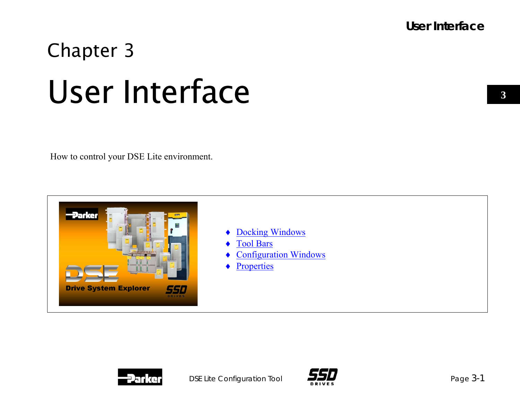# Chapter 3 User Interface

How to control your DSE Lite environment.



- ♦Docking Windows
- ♦Tool Bars
- ♦Configuration Windows
- ♦**Properties**



*DSE Lite Configuration Tool* **Page 3-1** 

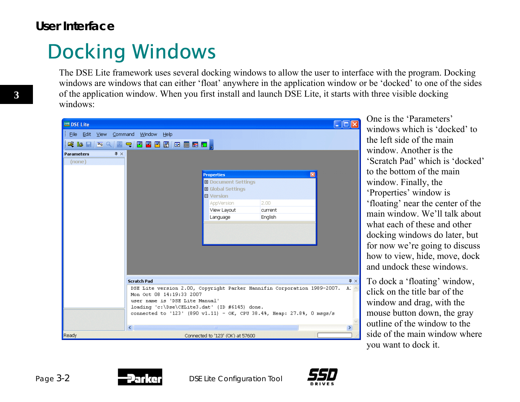## Docking Windows

The DSE Lite framework uses several docking windows to allow the user to interface with the program. Docking windows are windows that can either 'float' anywhere in the application window or be 'docked' to one of the sides of the application window. When you first install and launch DSE Lite, it starts with three visible docking windows:



One is the 'Parameters' windows which is 'docked' to the left side of the main window. Another is the 'Scratch Pad' which is 'docked' to the bottom of the main window. Finally, the 'Properties' window is 'floating' near the center of the main window. We'll talk about what each of these and other docking windows do later, but for now we're going to discuss how to view, hide, move, dock and undock these windows.

To dock a 'floating' window, click on the title bar of the window and drag, with the mouse button down, the gray outline of the window to the side of the main window where you want to dock it.



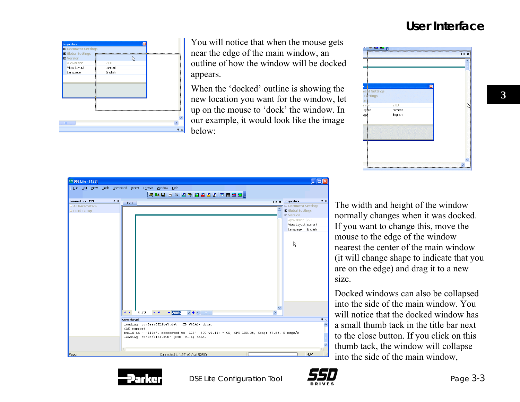

You will notice that when the mouse gets near the edge of the main window, an outline of how the window will be docked appears.

When the 'docked' outline is showing the new location you want for the window, let up on the mouse to 'dock' the window. In our example, it would look like the image below:



| <b>DSE DSE Lite - [123]</b>    |                                                                                                                                        |                                | $\Box$ ok  |
|--------------------------------|----------------------------------------------------------------------------------------------------------------------------------------|--------------------------------|------------|
|                                | Eile Edit View Block Command Insert Format Window Help                                                                                 |                                |            |
|                                | :Q & Q G Q B Q B Q B B B B D <mark>.</mark>                                                                                            |                                |            |
| $4 \times$<br>Parameters - 123 | 123                                                                                                                                    | <b>4 D</b> x <b>Properties</b> | $4 \times$ |
| <b>E</b> All Parameters        |                                                                                                                                        | <b>E Document Settings</b>     |            |
| <b>B</b> Quick Setup           |                                                                                                                                        | <b>E Global Settings</b>       |            |
|                                |                                                                                                                                        | <b>E</b> Version               |            |
|                                |                                                                                                                                        | AppVersion 2.00                |            |
|                                |                                                                                                                                        | View Layout current            |            |
|                                |                                                                                                                                        | Language English               |            |
|                                |                                                                                                                                        |                                |            |
|                                |                                                                                                                                        |                                |            |
|                                |                                                                                                                                        | ド                              |            |
|                                |                                                                                                                                        |                                |            |
|                                |                                                                                                                                        |                                |            |
|                                |                                                                                                                                        |                                |            |
|                                |                                                                                                                                        |                                |            |
|                                |                                                                                                                                        |                                |            |
|                                |                                                                                                                                        |                                |            |
|                                |                                                                                                                                        |                                |            |
|                                |                                                                                                                                        |                                |            |
|                                |                                                                                                                                        |                                |            |
|                                |                                                                                                                                        |                                |            |
|                                |                                                                                                                                        |                                |            |
|                                |                                                                                                                                        |                                |            |
|                                |                                                                                                                                        |                                |            |
|                                | $\rightarrow$ M $\parallel$ - 200%<br>$\rightarrow$<br>$H = 4$<br>4 of 2<br>$\vee$ + <<br>$-100$                                       |                                |            |
|                                | <b>Scratch Pad</b>                                                                                                                     |                                | $\sqrt{4}$ |
|                                | loading 'c:\Dse\CELite3.dat' (ID #6145) done.                                                                                          |                                |            |
|                                | CAM support                                                                                                                            |                                |            |
|                                | build id = '111c', connected to '123' (890 v1.11) - OK, CPU 100.0%, Heap: 27.8%, 0 msqs/s<br>loading 'c:\Dse\123.890' (890 v1.6) done. |                                |            |
|                                |                                                                                                                                        |                                |            |
|                                |                                                                                                                                        |                                |            |
|                                |                                                                                                                                        |                                |            |
| Ready                          | Connected to '123' (OK) at 57600                                                                                                       | <b>NUM</b>                     |            |

The width and height of the window normally changes when it was docked. If you want to change this, move the mouse to the edge of the window nearest the center of the main window (it will change shape to indicate that you are on the edge) and drag it to a new size.

Docked windows can also be collapsed into the side of the main window. You will notice that the docked window has a small thumb tack in the title bar next to the close button. If you click on this thumb tack, the window will collapse into the side of the main window,



 *DSE Lite Configuration Tool Page 3-3*

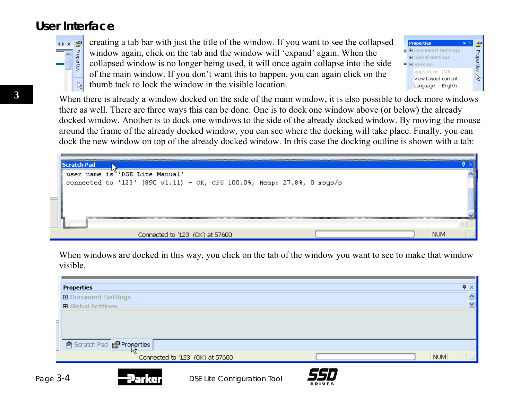

- creating a tab bar with just the title of the window. If you want to see the collapsed window again, click on the tab and the window will 'expand' again. When the collapsed window is no longer being used, it will once again collapse into the side
- of the main window. If you don't want this to happen, you can again click on the thumb tack to lock the window in the visible location.



When there is already a window docked on the side of the main window, it is also possible to dock more windows there as well. There are three ways this can be done. One is to dock one window above (or below) the already docked window. Another is to dock one windows to the side of the already docked window. By moving the mouse around the frame of the already docked window, you can see where the docking will take place. Finally, you can dock the new window on top of the already docked window. In this case the docking outline is shown with a tab:

| <b>Scratch Pad</b> |                                                                        |  |
|--------------------|------------------------------------------------------------------------|--|
|                    | user name is 'DSE Lite Manual'                                         |  |
|                    | connected to '123' (890 v1.11) - OK, CPU 100.0%, Heap: 27.8%, 0 msgs/s |  |
|                    |                                                                        |  |
|                    |                                                                        |  |
|                    |                                                                        |  |
|                    |                                                                        |  |
|                    |                                                                        |  |
|                    | <b>NUM</b><br>Connected to '123' (OK) at 57600                         |  |

When windows are docked in this way, you click on the tab of the window you want to see to make that window visible.

| <b>Properties</b>                        |      | $4 \times$    |
|------------------------------------------|------|---------------|
| <b>田 Document Settings</b>               |      | $\frac{1}{2}$ |
| <b>EL Global Settings</b>                |      |               |
|                                          |      |               |
|                                          |      |               |
|                                          |      |               |
| <b>图</b> Scratch Pad <b>图 Properties</b> |      |               |
| Connected to '123' (OK) at 57600         | NUM  |               |
|                                          | ____ |               |



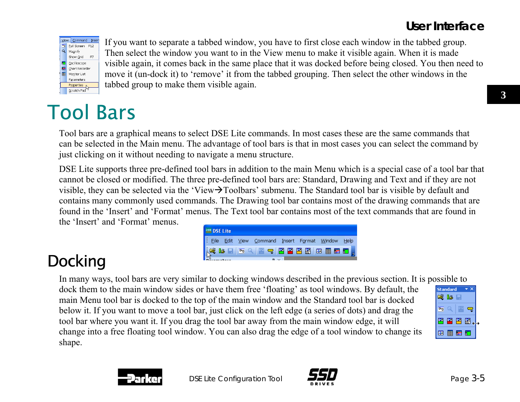**3** 



If you want to separate a tabbed window, you have to first close each window in the tabbed group. Then select the window you want to in the View menu to make it visible again. When it is made visible again, it comes back in the same place that it was docked before being closed. You then need to move it (un-dock it) to 'remove' it from the tabbed grouping. Then select the other windows in the tabbed group to make them visible again.

# Tool Bars

Tool bars are a graphical means to select DSE Lite commands. In most cases these are the same commands that can be selected in the Main menu. The advantage of tool bars is that in most cases you can select the command by just clicking on it without needing to navigate a menu structure.

DSE Lite supports three pre-defined tool bars in addition to the main Menu which is a special case of a tool bar that cannot be closed or modified. The three pre-defined tool bars are: Standard, Drawing and Text and if they are not visible, they can be selected via the 'View $\rightarrow$ Toolbars' submenu. The Standard tool bar is visible by default and contains many commonly used commands. The Drawing tool bar contains most of the drawing commands that are found in the 'Insert' and 'Format' menus. The Text tool bar contains most of the text commands that are found in the 'Insert' and 'Format' menus.

| <b>DSE DSE Lite</b> |                                                  |  |
|---------------------|--------------------------------------------------|--|
|                     | Eile Edit View Command Insert Format Window Help |  |
|                     | KIN DI TO I REPERIDE E D                         |  |
|                     |                                                  |  |

## Docking

In many ways, tool bars are very similar to docking windows described in the previous section. It is possible to dock them to the main window sides or have them free 'floating' as tool windows. By default, the main Menu tool bar is docked to the top of the main window and the Standard tool bar is docked below it. If you want to move a tool bar, just click on the left edge (a series of dots) and drag the tool bar where you want it. If you drag the tool bar away from the main window edge, it will change into a free floating tool window. You can also drag the edge of a tool window to change its shape.





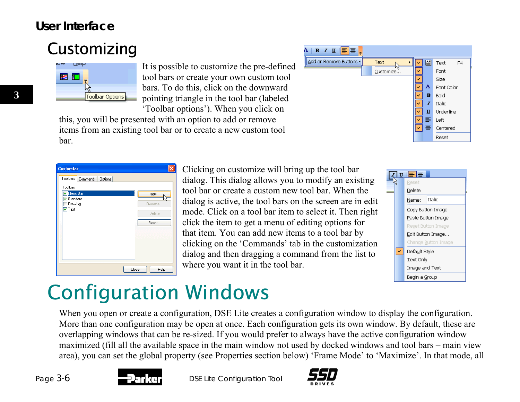## **Customizing**



It is possible to customize the pre-defined tool bars or create your own custom tool bars. To do this, click on the downward pointing triangle in the tool bar (labeled 'Toolbar options'). When you click on

this, you will be presented with an option to add or remove items from an existing tool bar or to create a new custom tool bar.

| <b>Customize</b>                |        |
|---------------------------------|--------|
| Toolbars<br>Commands<br>Options |        |
| Toolbars:                       |        |
| Menu Bar                        | New    |
| Standard<br>Drawing             | Rename |
| $\nabla$ Text                   | Delete |
|                                 | Reset  |
|                                 |        |
|                                 |        |
|                                 |        |
|                                 |        |
| Close                           | Help   |

Clicking on customize will bring up the tool bar dialog. This dialog allows you to modify an existing tool bar or create a custom new tool bar. When the dialog is active, the tool bars on the screen are in edit mode. Click on a tool bar item to select it. Then right click the item to get a menu of editing options for that item. You can add new items to a tool bar by clicking on the 'Commands' tab in the customization dialog and then dragging a command from the list to where you want it in the tool bar.





# Configuration Windows

When you open or create a configuration, DSE Lite creates a configuration window to display the configuration. More than one configuration may be open at once. Each configuration gets its own window. By default, these are overlapping windows that can be re-sized. If you would prefer to always have the active configuration window maximized (fill all the available space in the main window not used by docked windows and tool bars – main view area), you can set the global property (see Properties section below) 'Frame Mode' to 'Maximize'. In that mode, all

**3** 



Page 3-6 **Page 3-6 DSE Lite Configuration Tool** 

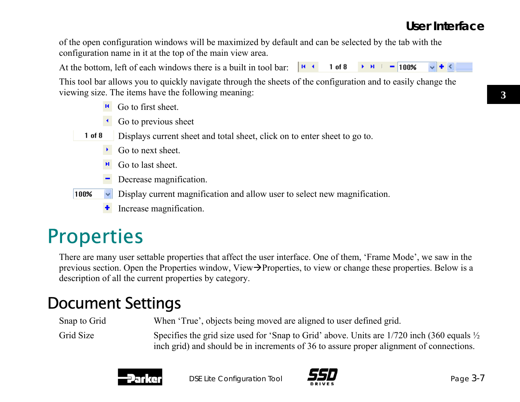$\vee$  +  $\vee$ 

 $+ + + - 100\%$ 

 $1$  of  $8$ 

of the open configuration windows will be maximized by default and can be selected by the tab with the configuration name in it at the top of the main view area.

At the bottom, left of each windows there is a built in tool bar:  $\|\mathbf{H} \cdot \mathbf{t}\|$ 

This tool bar allows you to quickly navigate through the sheets of the configuration and to easily change the viewing size. The items have the following meaning:

- **H** Go to first sheet.
- Go to previous sheet

 $1$  of  $8$ Displays current sheet and total sheet, click on to enter sheet to go to.

- Go to next sheet.
- **H** Go to last sheet.
- Decrease magnification.

Display current magnification and allow user to select new magnification. 100%

Increase magnification.

## **Properties**

There are many user settable properties that affect the user interface. One of them, 'Frame Mode', we saw in the previous section. Open the Properties window, View $\rightarrow$ Properties, to view or change these properties. Below is a description of all the current properties by category.

## Document Settings

Snap to Grid When 'True', objects being moved are aligned to user defined grid.

Grid Size Specifies the grid size used for 'Snap to Grid' above. Units are 1/720 inch (360 equals  $\frac{1}{2}$ ) inch grid) and should be in increments of 36 to assure proper alignment of connections.



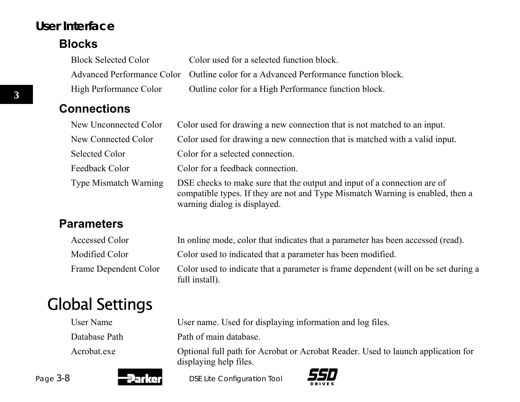## **Blocks**

Block Selected Color Color used for a selected function block. Advanced Performance Color Outline color for a Advanced Performance function block. High Performance Color Outline color for a High Performance function block.

### **Connections**

| New Unconnected Color        | Color used for drawing a new connection that is not matched to an input.                                                                                                                   |
|------------------------------|--------------------------------------------------------------------------------------------------------------------------------------------------------------------------------------------|
| New Connected Color          | Color used for drawing a new connection that is matched with a valid input.                                                                                                                |
| Selected Color               | Color for a selected connection.                                                                                                                                                           |
| Feedback Color               | Color for a feedback connection.                                                                                                                                                           |
| <b>Type Mismatch Warning</b> | DSE checks to make sure that the output and input of a connection are of<br>compatible types. If they are not and Type Mismatch Warning is enabled, then a<br>warning dialog is displayed. |

### **Parameters**

Accessed Color In online mode, color that indicates that a parameter has been accessed (read). Modified Color Color used to indicated that a parameter has been modified. Frame Dependent Color Color used to indicate that a parameter is frame dependent (will on be set during a full install).

## Global Settings

User Name User name. Used for displaying information and log files.

Database Path Path of main database.

Acrobat.exe Optional full path for Acrobat or Acrobat Reader. Used to launch application for displaying help files.

Page 3-8 **Decision 2-11 Total Configuration Tool** 





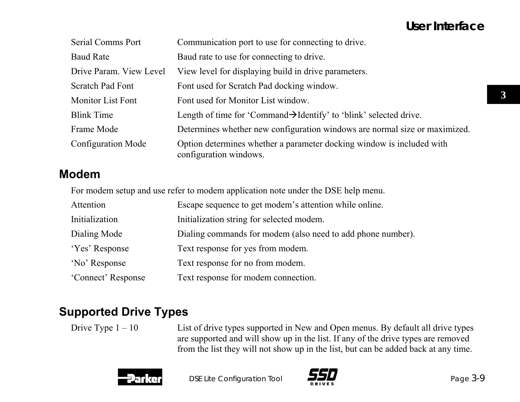| Serial Comms Port         | Communication port to use for connecting to drive.                                              |
|---------------------------|-------------------------------------------------------------------------------------------------|
| <b>Baud Rate</b>          | Baud rate to use for connecting to drive.                                                       |
| Drive Param. View Level   | View level for displaying build in drive parameters.                                            |
| <b>Scratch Pad Font</b>   | Font used for Scratch Pad docking window.                                                       |
| <b>Monitor List Font</b>  | Font used for Monitor List window.                                                              |
| <b>Blink Time</b>         | Length of time for 'Command $\rightarrow$ Identify' to 'blink' selected drive.                  |
| Frame Mode                | Determines whether new configuration windows are normal size or maximized.                      |
| <b>Configuration Mode</b> | Option determines whether a parameter docking window is included with<br>configuration windows. |

#### **Modem**

For modem setup and use refer to modem application note under the DSE help menu.

| Attention          | Escape sequence to get modem's attention while online.      |
|--------------------|-------------------------------------------------------------|
| Initialization     | Initialization string for selected modem.                   |
| Dialing Mode       | Dialing commands for modem (also need to add phone number). |
| 'Yes' Response     | Text response for yes from modem.                           |
| 'No' Response      | Text response for no from modem.                            |
| 'Connect' Response | Text response for modem connection.                         |

## **Supported Drive Types**

Drive Type  $1 - 10$  List of drive types supported in New and Open menus. By default all drive types are supported and will show up in the list. If any of the drive types are removed from the list they will not show up in the list, but can be added back at any time.





**3**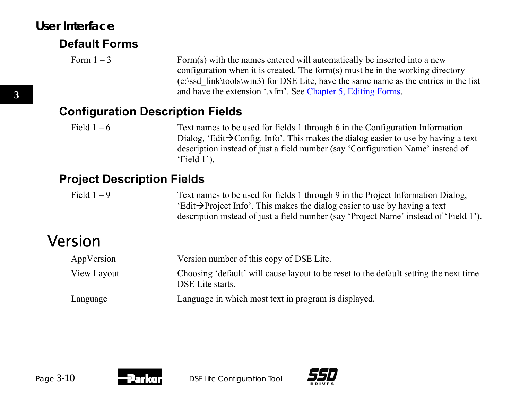## **User Interface Default Forms**

Form  $1 - 3$  Form(s) with the names entered will automatically be inserted into a new configuration when it is created. The form(s) must be in the working directory  $(c:\s d\ link\tools\win3)$  for DSE Lite, have the same name as the entries in the list and have the extension '.xfm'. See Chapter 5, Editing Forms.

## **Configuration Description Fields**

Field  $1 - 6$  Text names to be used for fields 1 through 6 in the Configuration Information Dialog, 'Edit $\rightarrow$ Config. Info'. This makes the dialog easier to use by having a text description instead of just a field number (say 'Configuration Name' instead of 'Field 1').

## **Project Description Fields**

Field  $1 - 9$  Text names to be used for fields 1 through 9 in the Project Information Dialog,  $'Edit \rightarrow$ Project Info'. This makes the dialog easier to use by having a text description instead of just a field number (say 'Project Name' instead of 'Field 1').

## Version

AppVersion Version number of this copy of DSE Lite.

View Layout Choosing 'default' will cause layout to be reset to the default setting the next time DSE Lite starts.

Language Language in which most text in program is displayed.



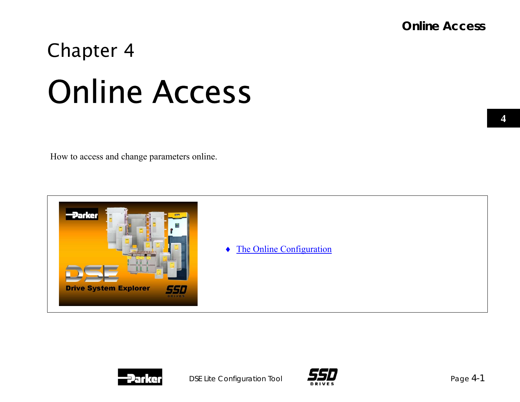# Chapter 4 Online Access

How to access and change parameters online.



◆ The Online Configuration



*DSE Lite Configuration Tool* **Page 4-1** 

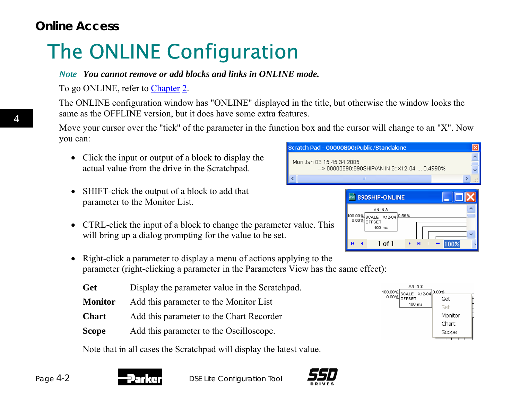# The ONLINE Configuration

#### *Note You cannot remove or add blocks and links in ONLINE mode.*

#### To go ONLINE, refer to Chapter 2.

The ONLINE configuration window has "ONLINE" displayed in the title, but otherwise the window looks the same as the OFFLINE version, but it does have some extra features.

Move your cursor over the "tick" of the parameter in the function box and the cursor will change to an "X". Now you can:

- Click the input or output of a block to display the actual value from the drive in the Scratchpad.
- $\bullet$  SHIFT-click the output of a block to add that parameter to the Monitor List.
- CTRL-click the input of a block to change the parameter value. This will bring up a dialog prompting for the value to be set.
- • Right-click a parameter to display a menu of actions applying to the parameter (right-clicking a parameter in the Parameters View has the same effect):
	- **Get** Display the parameter value in the Scratchpad.
	- **Monitor** Add this parameter to the Monitor List
	- **Chart** Add this parameter to the Chart Recorder
	- **Scope** Add this parameter to the Oscilloscope.

Note that in all cases the Scratchpad will display the latest value.









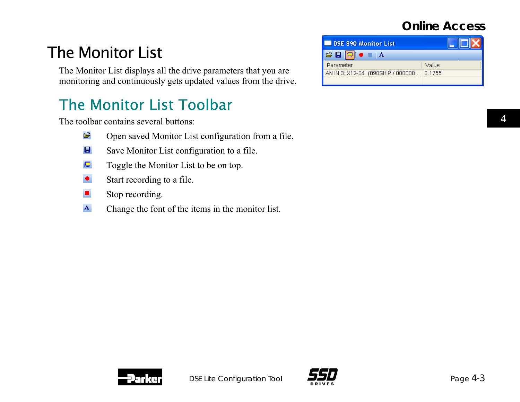## The Monitor List

The Monitor List displays all the drive parameters that you are monitoring and continuously gets updated values from the drive.

## The Monitor List Toolbar

The toolbar contains several buttons:

- $\mathbb{P}$  Open saved Monitor List configuration from a file.
- Save Monitor List configuration to a file.
- $\Box$  Toggle the Monitor List to be on top.
- Start recording to a file.
- Stop recording.
- A Change the font of the items in the monitor list.

| DSE 890 Monitor List                     |       |
|------------------------------------------|-------|
| $\mathcal{C}$ dic $\mathbf{E}$           |       |
| Parameter                                | Value |
| AN IN 3::X12-04 (890SHIP / 000008 0.1755 |       |
|                                          |       |



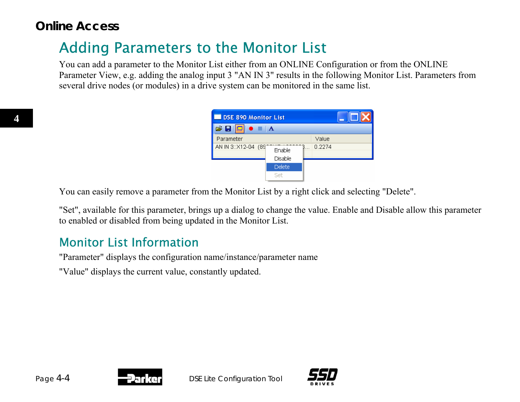## Adding Parameters to the Monitor List

You can add a parameter to the Monitor List either from an ONLINE Configuration or from the ONLINE Parameter View, e.g. adding the analog input 3 "AN IN 3" results in the following Monitor List. Parameters from several drive nodes (or modules) in a drive system can be monitored in the same list.

| <b>DSE 890 Monitor List</b> |                   |        |  |
|-----------------------------|-------------------|--------|--|
| 2 B <mark>9</mark> ● ■ A    |                   |        |  |
| Parameter                   |                   | Value  |  |
| AN IN 3::X12-04 (89)        | Enable<br>Disable | 0.2274 |  |
|                             | Delete<br>Set     |        |  |

You can easily remove a parameter from the Monitor List by a right click and selecting "Delete".

"Set", available for this parameter, brings up a dialog to change the value. Enable and Disable allow this parameter to enabled or disabled from being updated in the Monitor List.

## Monitor List Information

"Parameter" displays the configuration name/instance/parameter name

"Value" displays the current value, constantly updated.



Page 4-4 **Details and Configuration Tool** 

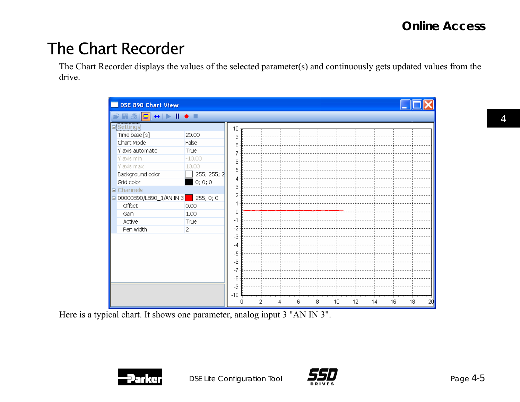## The Chart Recorder

The Chart Recorder displays the values of the selected parameter(s) and continuously gets updated values from the drive.



Here is a typical chart. It shows one parameter, analog input 3 "AN IN 3".



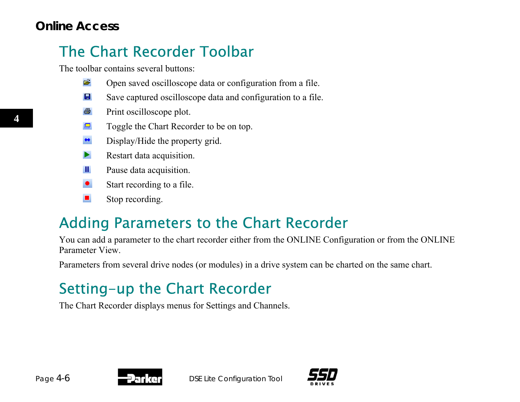## The Chart Recorder Toolbar

The toolbar contains several buttons:

- $\mathbb{E}$  Open saved oscilloscope data or configuration from a file.
- Save captured oscilloscope data and configuration to a file.
- $\bullet$  Print oscilloscope plot.
- $\Box$  Toggle the Chart Recorder to be on top.
- $\bullet$  Display/Hide the property grid.
- Restart data acquisition.
- **II** Pause data acquisition.
- Start recording to a file.
- Stop recording.

## Adding Parameters to the Chart Recorder

You can add a parameter to the chart recorder either from the ONLINE Configuration or from the ONLINE Parameter View.

Parameters from several drive nodes (or modules) in a drive system can be charted on the same chart.

## Setting-up the Chart Recorder

The Chart Recorder displays menus for Settings and Channels.



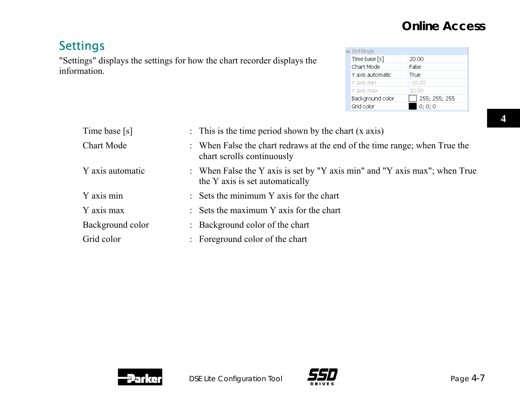## Settings

"Settings" displays the settings for how the chart recorder displays the information.

| ∃ Settings       |                      |
|------------------|----------------------|
| Time base [s]    | 20.00                |
| Chart Mode       | False                |
| Y axis automatic | True                 |
| Y axis min       | $-10.00$             |
| Y axis max       | 10.00                |
| Background color | $\Box$ 255; 255; 255 |
| Grid color       | 0;0;0                |

| Time base [s]     | : This is the time period shown by the chart $(x axis)$                                                       |
|-------------------|---------------------------------------------------------------------------------------------------------------|
| <b>Chart Mode</b> | : When False the chart redraws at the end of the time range; when True the<br>chart scrolls continuously      |
| Y axis automatic  | : When False the Y axis is set by "Y axis min" and "Y axis max"; when True<br>the Y axis is set automatically |
| Y axis min        | : Sets the minimum Y axis for the chart                                                                       |
| Y axis max        | $\therefore$ Sets the maximum Y axis for the chart                                                            |
| Background color  | : Background color of the chart                                                                               |
| Grid color        | : Foreground color of the chart                                                                               |



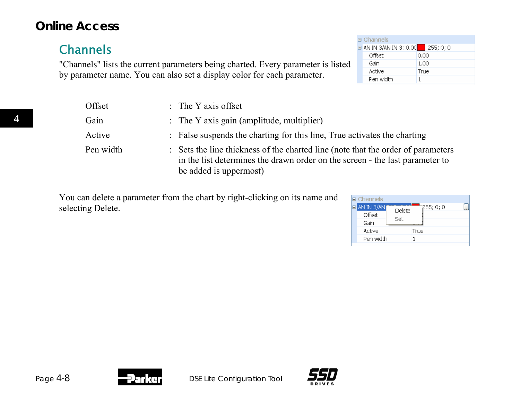## Channels

"Channels" lists the current parameters being charted. Every parameter is listed by parameter name. You can also set a display color for each parameter.

| $\Box$ Channels                        |      |
|----------------------------------------|------|
| $\Box$ AN IN 3/AN IN 3::0.00 255; 0; 0 |      |
| Offset                                 | 0.00 |
| Gain                                   | 1.00 |
| Active                                 | True |
| Pen width.                             |      |

| Offset    | : The Y axis offset                                                                                                                                                                        |
|-----------|--------------------------------------------------------------------------------------------------------------------------------------------------------------------------------------------|
| Gain      | : The Y axis gain (amplitude, multiplier)                                                                                                                                                  |
| Active    | : False suspends the charting for this line, True activates the charting                                                                                                                   |
| Pen width | : Sets the line thickness of the charted line (note that the order of parameters<br>in the list determines the drawn order on the screen - the last parameter to<br>be added is uppermost) |

You can delete a parameter from the chart by right-clicking on its name and selecting Delete.

| $\Box$ Channels             |                      |      |            |  |
|-----------------------------|----------------------|------|------------|--|
| $\Box$ AN IN 3/AN<br>Offset | Delete<br><b>Set</b> |      | 1255; 0; 0 |  |
| Gain                        |                      |      |            |  |
| Active                      |                      | True |            |  |
| Pen width                   |                      |      |            |  |
|                             |                      |      |            |  |



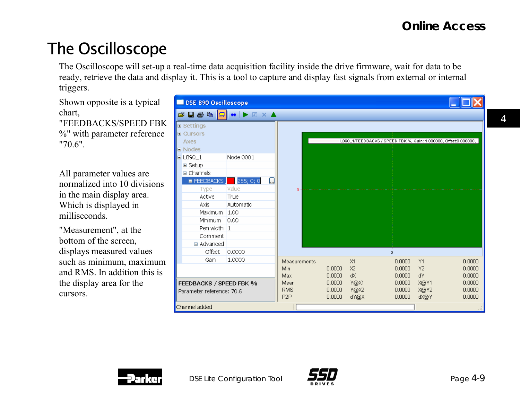## The Oscilloscope

The Oscilloscope will set-up a real-time data acquisition facility inside the drive firmware, wait for data to be ready, retrieve the data and display it. This is a tool to capture and display fast signals from external or internal triggers.

Shown opposite is a typical chart, "FEEDBACKS/SPEED FBK %" with parameter reference "70.6".

All parameter values are normalized into 10 divisions in the main display area. Which is displayed in milliseconds.

"Measurement", at the bottom of the screen, displays measured values such as minimum, maximum and RMS. In addition this is the display area for the cursors.

| DSE 890 Oscilloscope                                                                                                                                                                                      |                                                                                                                                                                                 |
|-----------------------------------------------------------------------------------------------------------------------------------------------------------------------------------------------------------|---------------------------------------------------------------------------------------------------------------------------------------------------------------------------------|
| $\mathfrak{S} \boxplus \oplus \mathfrak{b}$ $\mathfrak{p}$ $\mathfrak{p}$ $\mathfrak{p}$ $\mathfrak{p}$ $\mathfrak{p}$                                                                                    |                                                                                                                                                                                 |
| <b>E</b> Settings<br><b>El Cursors</b><br>Axes<br>$\Box$ Nodes<br>Node 0001<br>$\Box$ L890 1<br><b>⊞</b> Setup<br>$\Box$ Channels                                                                         | L890_1/FEEDBACKS / SPEED FBK %, Gain: 1.000000, Offset:0.000000,                                                                                                                |
| <b>E FEEDBACKS</b><br>255; 0; 0<br>Value<br>Type<br>Active<br><b>True</b><br>$A \times iS$<br>Automatic<br>Maximum $1.00$<br><b>Minimum</b><br>$\big 0.00$<br>Pen width 1<br>Comment<br><b>□ Advanced</b> | o                                                                                                                                                                               |
| Offset<br>0.0000                                                                                                                                                                                          | $\Omega$                                                                                                                                                                        |
| Gain<br>1,0000                                                                                                                                                                                            | <b>Measurements</b><br>X1<br>0.0000<br>Y1<br>0.0000<br>Y <sub>2</sub><br>Min<br>0.0000<br>X2<br>0.0000<br>0.0000<br>dY<br>0.0000<br>ďХ<br>0.0000<br>Max.<br>0.0000              |
| FEEDBACKS / SPEED FBK %<br>Parameter reference: 70.6                                                                                                                                                      | 0.0000<br>Y@X1<br>X@Y1<br>0.0000<br>Mear<br>0.0000<br><b>RMS</b><br>0.0000<br>Y@X2<br>X@Y2<br>0.0000<br>0.0000<br>P <sub>2P</sub><br>0.0000<br>dY@X<br>dX@Y<br>0.0000<br>0.0000 |
| Channel added                                                                                                                                                                                             |                                                                                                                                                                                 |



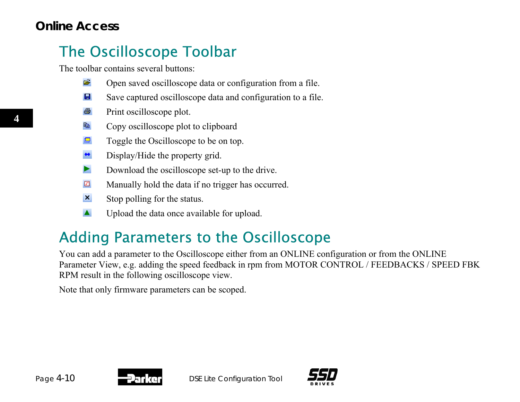## The Oscilloscope Toolbar

The toolbar contains several buttons:

- $\mathbb{E}$  Open saved oscilloscope data or configuration from a file.
- Save captured oscilloscope data and configuration to a file.
- **Print oscilloscope plot.**
- <sup>t</sup> Copy oscilloscope plot to clipboard
- $\Box$  Toggle the Oscilloscope to be on top.
- Display/Hide the property grid.
- Download the oscilloscope set-up to the drive.
- **E** Manually hold the data if no trigger has occurred.
- $\mathbf{\times}$  Stop polling for the status.
- $\triangle$  Upload the data once available for upload.

## Adding Parameters to the Oscilloscope

You can add a parameter to the Oscilloscope either from an ONLINE configuration or from the ONLINE Parameter View, e.g. adding the speed feedback in rpm from MOTOR CONTROL / FEEDBACKS / SPEED FBK RPM result in the following oscilloscope view.

Note that only firmware parameters can be scoped.



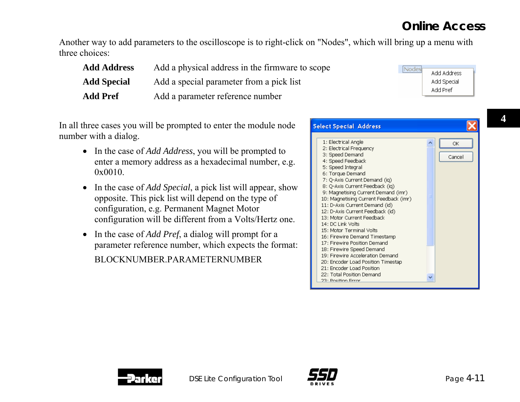Another way to add parameters to the oscilloscope is to right-click on "Nodes", which will bring up a menu with three choices:

| <b>Add Address</b> | Add a physical address in the firmware to scope |
|--------------------|-------------------------------------------------|
| <b>Add Special</b> | Add a special parameter from a pick list        |
| <b>Add Pref</b>    | Add a parameter reference number                |

Nodes Add Address Add Special Add Pref

In all three cases you will be prompted to enter the module node number with a dialog.

- In the case of *Add Address*, you will be prompted to enter a memory address as a hexadecimal number, e.g. 0x0010
- In the case of *Add Special*, a pick list will appear, show opposite. This pick list will depend on the type of configuration, e.g. Permanent Magnet Motor configuration will be different from a Volts/Hertz one.
- In the case of *Add Pref*, a dialog will prompt for a parameter reference number, which expects the format: BLOCKNUMBER.PARAMETERNUMBER





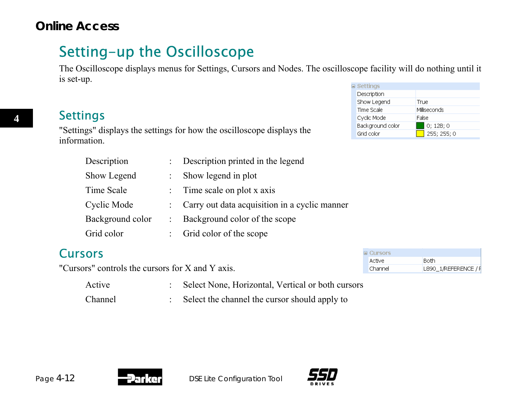## Setting-up the Oscilloscope

The Oscilloscope displays menus for Settings, Cursors and Nodes. The oscilloscope facility will do nothing until it is set-up.

**4** 

"Settings" displays the settings for how the oscilloscope displays the information.

| Description      | : Description printed in the legend             |
|------------------|-------------------------------------------------|
| Show Legend      | Show legend in plot                             |
| Time Scale       | : Time scale on plot x axis                     |
| Cyclic Mode      | : Carry out data acquisition in a cyclic manner |
| Background color | : Background color of the scope                 |
| Grid color       | : Grid color of the scope                       |

## **Cursors**

"Cursors" controls the cursors for X and Y axis.

- Active : Select None, Horizontal, Vertical or both cursors
- Channel : Select the channel the cursor should apply to

| $\blacksquare$ Settings |              |
|-------------------------|--------------|
| Description             |              |
| Show Legend             | True         |
| Time Scale              | Milliseconds |
| Cyclic Mode             | False        |
| Background color        | 0; 128; 0    |
| Grid color              | 255; 255; 0  |
|                         |              |

|  | $\boxminus$ Cursors: |                      |
|--|----------------------|----------------------|
|  | Active               | Both                 |
|  | Channel              | L890_1/REFERENCE / F |



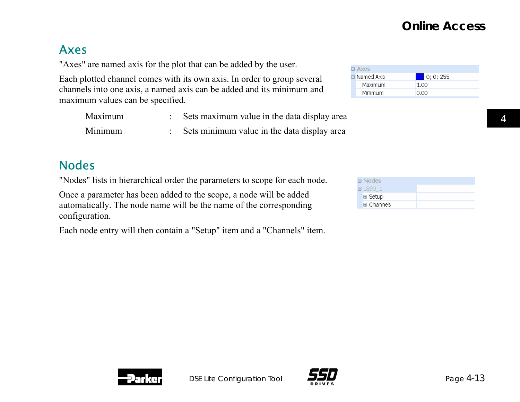## Axes

"Axes" are named axis for the plot that can be added by the user.

Each plotted channel comes with its own axis. In order to group several channels into one axis, a named axis can be added and its minimum and maximum values can be specified.

| Maximum | Sets maximum value in the data display area |
|---------|---------------------------------------------|
| Minimum | Sets minimum value in the data display area |

## Nodes

"Nodes" lists in hierarchical order the parameters to scope for each node.

Once a parameter has been added to the scope, a node will be added automatically. The node name will be the name of the corresponding configuration.

Each node entry will then contain a "Setup" item and a "Channels" item.

| ∃ Nodes:   |  |
|------------|--|
| ∃ L890  1  |  |
| 国 Setup    |  |
| ⊞ Channels |  |



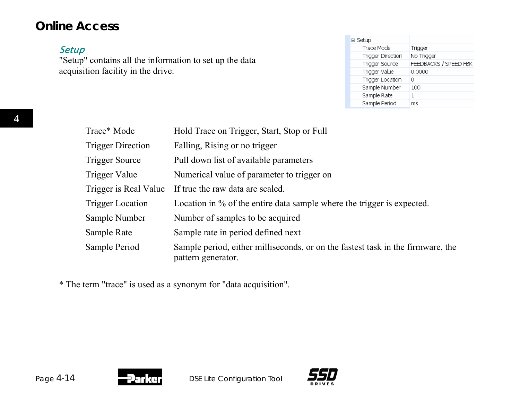#### Setup

"Setup" contains all the information to set up the data acquisition facility in the drive.

|  | <b>□ Setup</b>           |                       |
|--|--------------------------|-----------------------|
|  | Trace Mode               | Trigger               |
|  | <b>Trigger Direction</b> | No Trigger            |
|  | Trigger Source           | FEEDBACKS / SPEED FBK |
|  | Trigger Value            | 0.0000                |
|  | Trigger Location         | Ω                     |
|  | Sample Number            | 100                   |
|  | Sample Rate              | 1                     |
|  | Sample Period            | ms                    |
|  |                          |                       |

| Trace* Mode              | Hold Trace on Trigger, Start, Stop or Full                                                            |
|--------------------------|-------------------------------------------------------------------------------------------------------|
| <b>Trigger Direction</b> | Falling, Rising or no trigger                                                                         |
| <b>Trigger Source</b>    | Pull down list of available parameters                                                                |
| Trigger Value            | Numerical value of parameter to trigger on                                                            |
| Trigger is Real Value    | If true the raw data are scaled.                                                                      |
| <b>Trigger Location</b>  | Location in % of the entire data sample where the trigger is expected.                                |
| Sample Number            | Number of samples to be acquired                                                                      |
| Sample Rate              | Sample rate in period defined next                                                                    |
| Sample Period            | Sample period, either milliseconds, or on the fastest task in the firmware, the<br>pattern generator. |

\* The term "trace" is used as a synonym for "data acquisition".



Page 4-14 **Details and DE Lite Configuration Tool** 

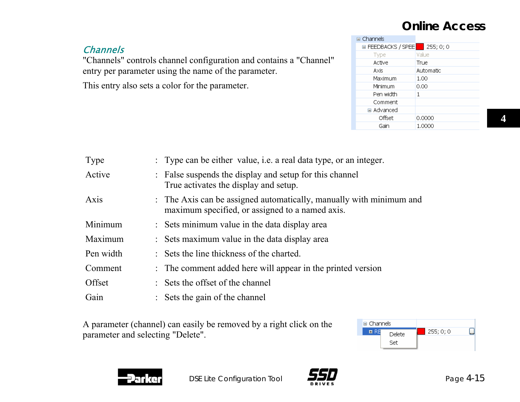| $\boxdot$ Channels                  |           |
|-------------------------------------|-----------|
| <b>E FEEDBACKS / SPEE</b> 255; 0; 0 |           |
| Type                                | Value     |
| Active                              | True      |
| Axis                                | Automatic |
| Maximum                             | 1.00      |
| Minimum                             | 0.00      |
| Pen width                           | 1         |
| Comment                             |           |
| <b>□ Advanced</b>                   |           |
| Offset                              | 0.0000    |
| Gain                                | 1.0000    |
|                                     |           |

| Type      | : Type can be either value, i.e. a real data type, or an integer.                                                      |
|-----------|------------------------------------------------------------------------------------------------------------------------|
| Active    | : False suspends the display and setup for this channel<br>True activates the display and setup.                       |
| Axis      | : The Axis can be assigned automatically, manually with minimum and<br>maximum specified, or assigned to a named axis. |
| Minimum   | : Sets minimum value in the data display area                                                                          |
| Maximum   | : Sets maximum value in the data display area                                                                          |
| Pen width | : Sets the line thickness of the charted.                                                                              |
| Comment   | : The comment added here will appear in the printed version                                                            |
| Offset    | : Sets the offset of the channel                                                                                       |
| Gain      | : Sets the gain of the channel                                                                                         |

A parameter (channel) can easily be removed by a right click on the parameter and selecting "Delete".

"Channels" controls channel configuration and contains a "Channel"

entry per parameter using the name of the parameter.

This entry also sets a color for the parameter.





**Channels** 

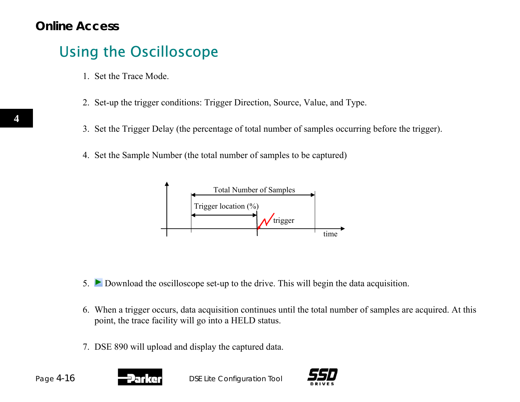## Using the Oscilloscope

- 1. Set the Trace Mode.
- 2. Set-up the trigger conditions: Trigger Direction, Source, Value, and Type.
- 3. Set the Trigger Delay (the percentage of total number of samples occurring before the trigger).
- 4. Set the Sample Number (the total number of samples to be captured)



- 5. Download the oscilloscope set-up to the drive. This will begin the data acquisition.
- 6. When a trigger occurs, data acquisition continues until the total number of samples are acquired. At this point, the trace facility will go into a HELD status.
- 7. DSE 890 will upload and display the captured data.





Page 4-16 **Deciment Configuration Tool** 

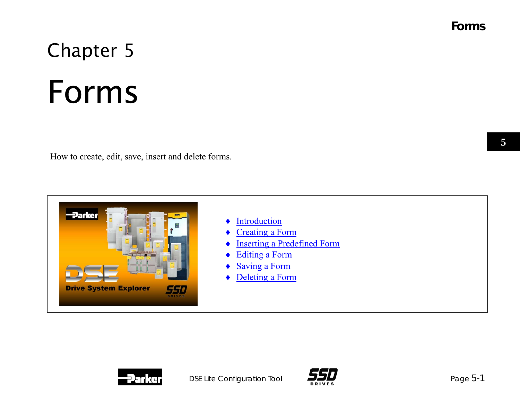# Chapter 5 Forms

How to create, edit, save, insert and delete forms.



- ♦Introduction
- ♦Creating a Form
- ♦Inserting a Predefined Form
- ♦Editing a Form
- ♦Saving a Form
- ♦Deleting a Form





*DSE Lite Configuration Tool* **Page 5-1** 

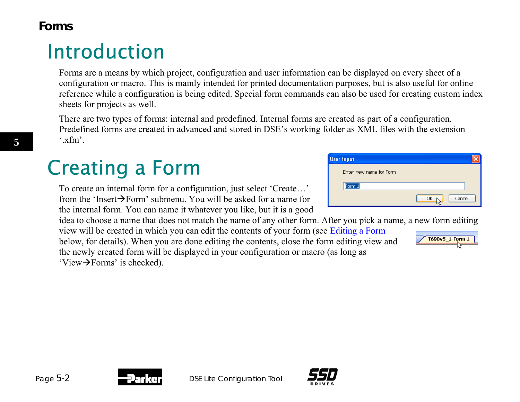## **Forms**

## Introduction

Forms are a means by which project, configuration and user information can be displayed on every sheet of a configuration or macro. This is mainly intended for printed documentation purposes, but is also useful for online reference while a configuration is being edited. Special form commands can also be used for creating custom index sheets for projects as well.

There are two types of forms: internal and predefined. Internal forms are created as part of a configuration. Predefined forms are created in advanced and stored in DSE's working folder as XML files with the extension  $'$  xfm'

## Creating a Form

To create an internal form for a configuration, just select 'Create…' from the 'Insert $\rightarrow$ Form' submenu. You will be asked for a name for the internal form. You can name it whatever you like, but it is a good

idea to choose a name that does not match the name of any other form. After you pick a name, a new form editing view will be created in which you can edit the contents of your form (see Editing a Form

below, for details). When you are done editing the contents, close the form editing view and the newly created form will be displayed in your configuration or macro (as long as  $\text{View}\rightarrow \text{Forms'}$  is checked).

| <b>User input</b>       |        |
|-------------------------|--------|
| Enter new name for Form |        |
| Form 1                  |        |
|                         | Cancel |





Page 5-2 **Page 5-2 DSE Lite Configuration Tool** 

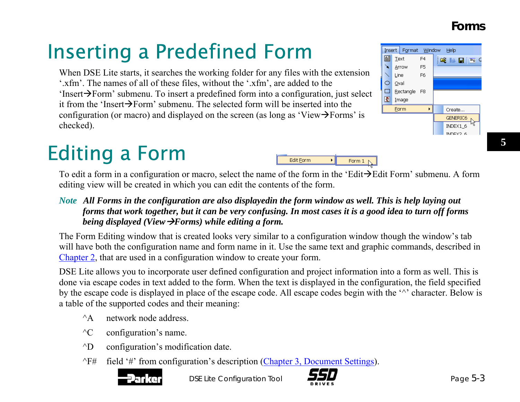**5** 

# Inserting a Predefined Form

When DSE Lite starts, it searches the working folder for any files with the extension '.xfm'. The names of all of these files, without the '.xfm', are added to the 'Insert $\rightarrow$  Form' submenu. To insert a predefined form into a configuration, just select it from the 'Insert $\rightarrow$ Form' submenu. The selected form will be inserted into the configuration (or macro) and displayed on the screen (as long as 'View $\rightarrow$ Forms' is checked).

# Editing a Form

To edit a form in a configuration or macro, select the name of the form in the 'Edit $\rightarrow$ Edit Form' submenu. A form editing view will be created in which you can edit the contents of the form.

#### *Note All Forms in the configuration are also displayedin the form window as well. This is help laying out forms that work together, but it can be very confusing. In most cases it is a good idea to turn off forms being displayed (View* Æ*Forms) while editing a form.*

The Form Editing window that is created looks very similar to a configuration window though the window's tab will have both the configuration name and form name in it. Use the same text and graphic commands, described in Chapter 2, that are used in a configuration window to create your form.

DSE Lite allows you to incorporate user defined configuration and project information into a form as well. This is done via escape codes in text added to the form. When the text is displayed in the configuration, the field specified by the escape code is displayed in place of the escape code. All escape codes begin with the '^' character. Below is a table of the supported codes and their meaning:

- ^A network node address.
- $\text{C}$  configuration's name.
- $\triangle$ D configuration's modification date.
- $\Delta F^{\#}$  field '#' from configuration's description (Chapter 3, Document Settings).



 *DSE Lite Configuration Tool Page 5-3*





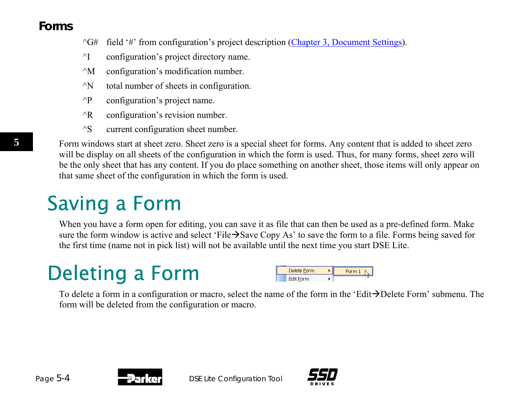#### **Forms**

- ^G# field '#' from configuration's project description (Chapter 3, Document Settings).
- ^I configuration's project directory name.
- $^{\wedge}$ M configuration's modification number.
- $^{\wedge}$  total number of sheets in configuration.
- $\Delta P$  configuration's project name.
- $^{\wedge}$  R configuration's revision number.
- $\triangle$ S current configuration sheet number.

Form windows start at sheet zero. Sheet zero is a special sheet for forms. Any content that is added to sheet zero will be display on all sheets of the configuration in which the form is used. Thus, for many forms, sheet zero will be the only sheet that has any content. If you do place something on another sheet, those items will only appear on that same sheet of the configuration in which the form is used.

# Saving a Form

When you have a form open for editing, you can save it as file that can then be used as a pre-defined form. Make sure the form window is active and select 'File $\rightarrow$ Save Copy As' to save the form to a file. Forms being saved for the first time (name not in pick list) will not be available until the next time you start DSE Lite.

# Deleting a Form

| Delete Form | Form 1 |
|-------------|--------|
| Edit Form   |        |

To delete a form in a configuration or macro, select the name of the form in the 'Edit $\rightarrow$ Delete Form' submenu. The form will be deleted from the configuration or macro.





Page 5-4 **Page 5-4 DSE Lite Configuration Tool** 

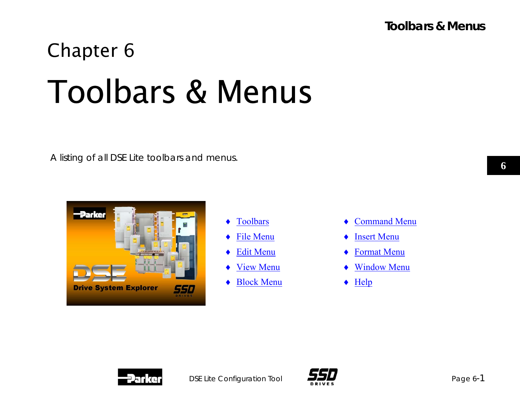# Chapter 6 Toolbars & Menus

A listing of all DSE Lite toolbars and menus.



- ♦Toolbars
- ♦File Menu
- ♦Edit Menu
- ♦View Menu
- ♦Block Menu
- ♦Command Menu
- ♦Insert Menu
- ♦Format Menu
- ♦Window Menu
- ♦Help



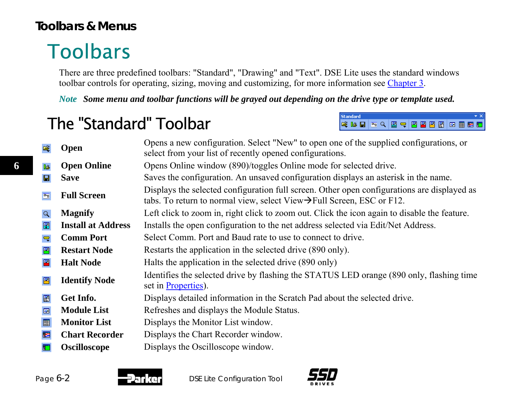## **Toolbars**

There are three predefined toolbars: "Standard", "Drawing" and "Text". DSE Lite uses the standard windows toolbar controls for operating, sizing, moving and customizing, for more information see Chapter 3.

*Note Some menu and toolbar functions will be grayed out depending on the drive type or template used.* 

## The "Standard" Toolbar



| 暲                                  | <b>Open</b>                                                                                                    | Opens a new configuration. Select "New" to open one of the supplied configurations, or<br>select from your list of recently opened configurations.                                |  |  |
|------------------------------------|----------------------------------------------------------------------------------------------------------------|-----------------------------------------------------------------------------------------------------------------------------------------------------------------------------------|--|--|
| <b>i</b> <sub>2</sub>              | <b>Open Online</b>                                                                                             | Opens Online window (890)/toggles Online mode for selected drive.                                                                                                                 |  |  |
| $\blacksquare$                     | <b>Save</b>                                                                                                    | Saves the configuration. An unsaved configuration displays an asterisk in the name.                                                                                               |  |  |
| $\overline{\mathbf{P} \mathbf{0}}$ | <b>Full Screen</b>                                                                                             | Displays the selected configuration full screen. Other open configurations are displayed as<br>tabs. To return to normal view, select View $\rightarrow$ Full Screen, ESC or F12. |  |  |
| $\mathsf{Q}$                       | Left click to zoom in, right click to zoom out. Click the icon again to disable the feature.<br><b>Magnify</b> |                                                                                                                                                                                   |  |  |
| 圕                                  | <b>Install at Address</b>                                                                                      | Installs the open configuration to the net address selected via Edit/Net Address.                                                                                                 |  |  |
| $\Rightarrow$                      | <b>Comm Port</b>                                                                                               | Select Comm. Port and Baud rate to use to connect to drive.                                                                                                                       |  |  |
| 图                                  | <b>Restart Node</b>                                                                                            | Restarts the application in the selected drive (890 only).                                                                                                                        |  |  |
| 囶                                  | <b>Halt Node</b>                                                                                               | Halts the application in the selected drive (890 only)                                                                                                                            |  |  |
| 图                                  | <b>Identify Node</b>                                                                                           | Identifies the selected drive by flashing the STATUS LED orange (890 only, flashing time<br>set in <i>Properties</i> ).                                                           |  |  |
| 圕                                  | Get Info.                                                                                                      | Displays detailed information in the Scratch Pad about the selected drive.                                                                                                        |  |  |
| $\overline{\omega}$                | <b>Module List</b>                                                                                             | Refreshes and displays the Module Status.                                                                                                                                         |  |  |
| 團                                  | <b>Monitor List</b>                                                                                            | Displays the Monitor List window.                                                                                                                                                 |  |  |
| 匿                                  | <b>Chart Recorder</b>                                                                                          | Displays the Chart Recorder window.                                                                                                                                               |  |  |
| <b>The Second Second</b>           | <b>Oscilloscope</b>                                                                                            | Displays the Oscilloscope window.                                                                                                                                                 |  |  |

**6** 



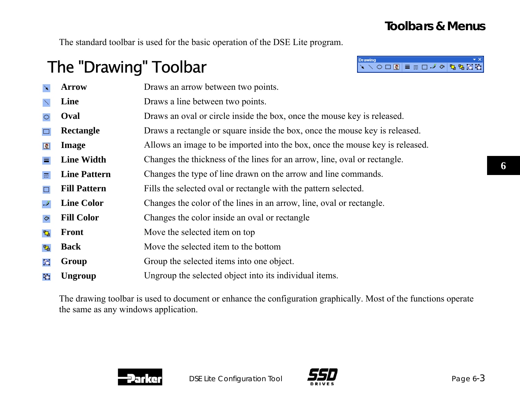The standard toolbar is used for the basic operation of the DSE Lite program.

## The "Drawing" Toolbar



|              | <b>Arrow</b>        | Draws an arrow between two points.                                           |  |  |
|--------------|---------------------|------------------------------------------------------------------------------|--|--|
|              | Line                | Draws a line between two points.                                             |  |  |
| $\circ$      | Oval                | Draws an oval or circle inside the box, once the mouse key is released.      |  |  |
| $\Box$       | Rectangle           | Draws a rectangle or square inside the box, once the mouse key is released.  |  |  |
| $\mathbf{R}$ | <b>Image</b>        | Allows an image to be imported into the box, once the mouse key is released. |  |  |
| 目            | <b>Line Width</b>   | Changes the thickness of the lines for an arrow, line, oval or rectangle.    |  |  |
| 靈            | <b>Line Pattern</b> | Changes the type of line drawn on the arrow and line commands.               |  |  |
|              | <b>Fill Pattern</b> | Fills the selected oval or rectangle with the pattern selected.              |  |  |
| -1           | <b>Line Color</b>   | Changes the color of the lines in an arrow, line, oval or rectangle.         |  |  |
| ◇            | <b>Fill Color</b>   | Changes the color inside an oval or rectangle                                |  |  |
| ቤ            | <b>Front</b>        | Move the selected item on top                                                |  |  |
| 品            | <b>Back</b>         | Move the selected item to the bottom                                         |  |  |
| 石            | Group               | Group the selected items into one object.                                    |  |  |
| 哂            | <b>Ungroup</b>      | Ungroup the selected object into its individual items.                       |  |  |

The drawing toolbar is used to document or enhance the configuration graphically. Most of the functions operate the same as any windows application.



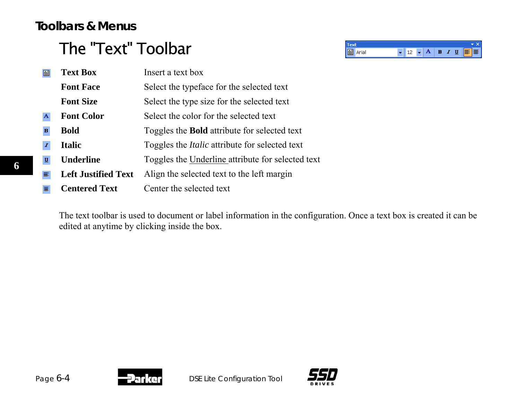## The "Text" Toolbar

| 圄                        | <b>Text Box</b>            | Insert a text box                                     |
|--------------------------|----------------------------|-------------------------------------------------------|
|                          | <b>Font Face</b>           | Select the type face for the selected text            |
|                          | <b>Font Size</b>           | Select the type size for the selected text            |
| $\mathbf A$              | <b>Font Color</b>          | Select the color for the selected text                |
| $\mathbf{B}$             | <b>Bold</b>                | Toggles the <b>Bold</b> attribute for selected text   |
| $\boldsymbol{I}$         | <b>Italic</b>              | Toggles the <i>Italic</i> attribute for selected text |
| $\underline{\mathbf{u}}$ | <b>Underline</b>           | Toggles the Underline attribute for selected text     |
| F                        | <b>Left Justified Text</b> | Align the selected text to the left margin            |
| 륳                        | <b>Centered Text</b>       | Center the selected text                              |

The text toolbar is used to document or label information in the configuration. Once a text box is created it can be edited at anytime by clicking inside the box.







Text

图 Arial

 $\overline{\mathbf{v}}$  X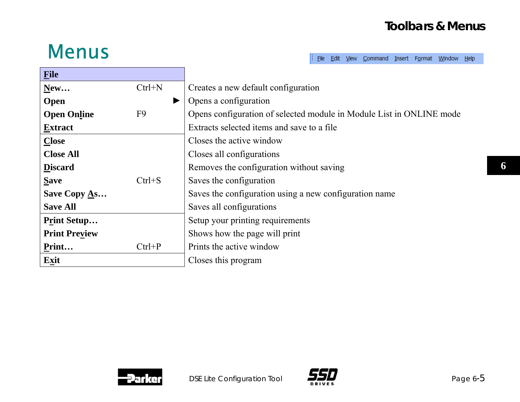Eile Edit View Command Insert Format Window Help

| <b>File</b>                |                       |                                                                      |
|----------------------------|-----------------------|----------------------------------------------------------------------|
| New                        | $Ctrl+N$              | Creates a new default configuration                                  |
| <b>Open</b>                | $\blacktriangleright$ | Opens a configuration                                                |
| <b>Open Online</b>         | F9                    | Opens configuration of selected module in Module List in ONLINE mode |
| <b>Extract</b>             |                       | Extracts selected items and save to a file                           |
| <b>Close</b>               |                       | Closes the active window                                             |
| <b>Close All</b>           |                       | Closes all configurations                                            |
| <b>Discard</b>             |                       | Removes the configuration without saving                             |
| <b>Save</b>                | $Ctrl + S$            | Saves the configuration                                              |
| Save Copy $\underline{As}$ |                       | Saves the configuration using a new configuration name               |
| <b>Save All</b>            |                       | Saves all configurations                                             |
| <b>Print Setup</b>         |                       | Setup your printing requirements                                     |
| <b>Print Preview</b>       |                       | Shows how the page will print                                        |
| Print                      | $Ctrl + P$            | Prints the active window                                             |
| Exit                       |                       | Closes this program                                                  |



Menus

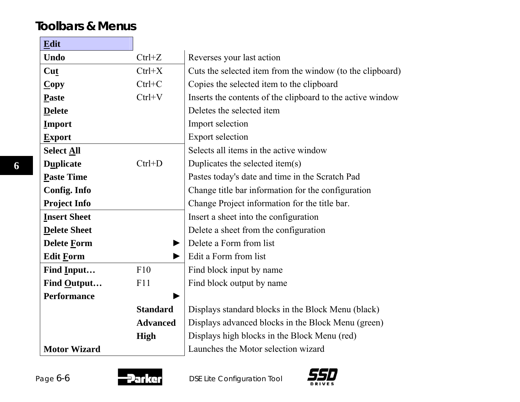| Edit                |                 |                                                            |
|---------------------|-----------------|------------------------------------------------------------|
| <b>Undo</b>         | $Ctrl+Z$        | Reverses your last action                                  |
| Cut                 | $Ctrl+X$        | Cuts the selected item from the window (to the clipboard)  |
| $\mathbf{Copy}$     | $Ctrl+C$        | Copies the selected item to the clipboard                  |
| <b>Paste</b>        | $Ctrl+V$        | Inserts the contents of the clipboard to the active window |
| <b>Delete</b>       |                 | Deletes the selected item                                  |
| Import              |                 | Import selection                                           |
| <b>Export</b>       |                 | <b>Export selection</b>                                    |
| Select All          |                 | Selects all items in the active window                     |
| <b>Duplicate</b>    | $Ctrl + D$      | Duplicates the selected item(s)                            |
| <b>Paste Time</b>   |                 | Pastes today's date and time in the Scratch Pad            |
| <b>Config. Info</b> |                 | Change title bar information for the configuration         |
| <b>Project Info</b> |                 | Change Project information for the title bar.              |
| <b>Insert Sheet</b> |                 | Insert a sheet into the configuration                      |
| <b>Delete Sheet</b> |                 | Delete a sheet from the configuration                      |
| Delete Form         |                 | Delete a Form from list                                    |
| <b>Edit Form</b>    | ▶               | Edit a Form from list                                      |
| Find Input          | F10             | Find block input by name                                   |
| Find Output         | F11             | Find block output by name                                  |
| <b>Performance</b>  |                 |                                                            |
|                     | <b>Standard</b> | Displays standard blocks in the Block Menu (black)         |
|                     | <b>Advanced</b> | Displays advanced blocks in the Block Menu (green)         |
|                     | <b>High</b>     | Displays high blocks in the Block Menu (red)               |
| <b>Motor Wizard</b> |                 | Launches the Motor selection wizard                        |



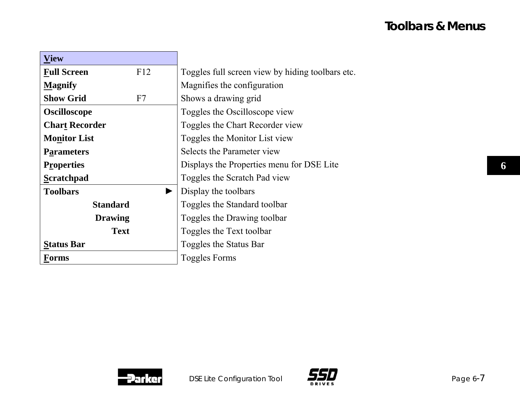| View                      |                                                  |
|---------------------------|--------------------------------------------------|
| <b>Full Screen</b><br>F12 | Toggles full screen view by hiding toolbars etc. |
| <b>Magnify</b>            | Magnifies the configuration                      |
| <b>Show Grid</b><br>F7    | Shows a drawing grid                             |
| <b>Oscilloscope</b>       | Toggles the Oscilloscope view                    |
| <b>Chart Recorder</b>     | Toggles the Chart Recorder view                  |
| <b>Monitor List</b>       | Toggles the Monitor List view                    |
| <b>Parameters</b>         | Selects the Parameter view                       |
| <b>Properties</b>         | Displays the Properties menu for DSE Lite        |
| <b>Scratchpad</b>         | Toggles the Scratch Pad view                     |
| <b>Toolbars</b><br>▶      | Display the toolbars                             |
| <b>Standard</b>           | Toggles the Standard toolbar                     |
| <b>Drawing</b>            | Toggles the Drawing toolbar                      |
| <b>Text</b>               | Toggles the Text toolbar                         |
| <b>Status Bar</b>         | Toggles the Status Bar                           |
| <b>Forms</b>              | Toggles Forms                                    |



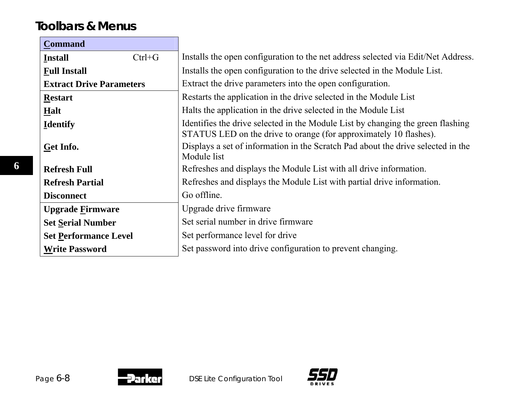| <b>Command</b>                  |                                                                                                                                                      |
|---------------------------------|------------------------------------------------------------------------------------------------------------------------------------------------------|
| $Ctrl + G$<br><b>Install</b>    | Installs the open configuration to the net address selected via Edit/Net Address.                                                                    |
| <b>Full Install</b>             | Installs the open configuration to the drive selected in the Module List.                                                                            |
| <b>Extract Drive Parameters</b> | Extract the drive parameters into the open configuration.                                                                                            |
| <b>Restart</b>                  | Restarts the application in the drive selected in the Module List                                                                                    |
| Halt                            | Halts the application in the drive selected in the Module List                                                                                       |
| <b>Identify</b>                 | Identifies the drive selected in the Module List by changing the green flashing<br>STATUS LED on the drive to orange (for approximately 10 flashes). |
| Get Info.                       | Displays a set of information in the Scratch Pad about the drive selected in the<br>Module list                                                      |
| <b>Refresh Full</b>             | Refreshes and displays the Module List with all drive information.                                                                                   |
| <b>Refresh Partial</b>          | Refreshes and displays the Module List with partial drive information.                                                                               |
| <b>Disconnect</b>               | Go offline.                                                                                                                                          |
| <b>Upgrade Firmware</b>         | Upgrade drive firmware                                                                                                                               |
| <b>Set Serial Number</b>        | Set serial number in drive firmware                                                                                                                  |
| <b>Set Performance Level</b>    | Set performance level for drive                                                                                                                      |
| <b>Write Password</b>           | Set password into drive configuration to prevent changing.                                                                                           |



Page 6-8 **Page 12 Page 1** 

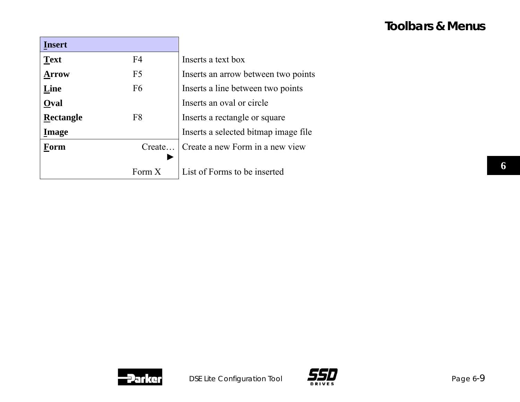| <b>Insert</b> |                |                                       |
|---------------|----------------|---------------------------------------|
| <b>Text</b>   | F <sub>4</sub> | Inserts a text box                    |
| <b>Arrow</b>  | F <sub>5</sub> | Inserts an arrow between two points   |
| Line          | F <sub>6</sub> | Inserts a line between two points     |
| Oval          |                | Inserts an oval or circle             |
| Rectangle     | F8             | Inserts a rectangle or square         |
| Image         |                | Inserts a selected bitmap image file. |
| Form          | Create         | Create a new Form in a new view       |
|               |                |                                       |
|               | Form X         | List of Forms to be inserted          |



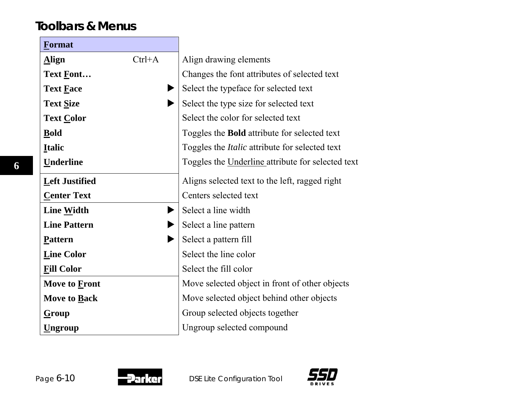| <b>Format</b>         |          |                                                       |
|-----------------------|----------|-------------------------------------------------------|
| <b>Align</b>          | $Ctrl+A$ | Align drawing elements                                |
| Text Font             |          | Changes the font attributes of selected text          |
| <b>Text Face</b>      |          | Select the typeface for selected text                 |
| <b>Text Size</b>      |          | Select the type size for selected text                |
| <b>Text Color</b>     |          | Select the color for selected text                    |
| <b>Bold</b>           |          | Toggles the <b>Bold</b> attribute for selected text   |
| <b>Italic</b>         |          | Toggles the <i>Italic</i> attribute for selected text |
| Underline             |          | Toggles the Underline attribute for selected text     |
| <b>Left Justified</b> |          | Aligns selected text to the left, ragged right        |
| <b>Center Text</b>    |          | Centers selected text                                 |
| <b>Line Width</b>     |          | Select a line width                                   |
| <b>Line Pattern</b>   |          | Select a line pattern                                 |
| <b>Pattern</b>        |          | Select a pattern fill                                 |
| <b>Line Color</b>     |          | Select the line color                                 |
| <b>Fill Color</b>     |          | Select the fill color                                 |
| Move to <b>Front</b>  |          | Move selected object in front of other objects        |
| Move to Back          |          | Move selected object behind other objects             |
| $Group$               |          | Group selected objects together                       |
| <b>Ungroup</b>        |          | Ungroup selected compound                             |



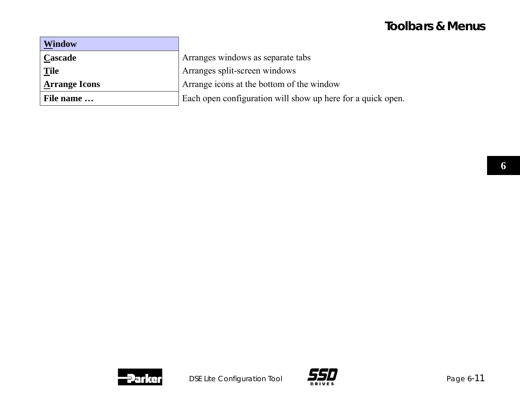| <b>Window</b>        |                                                             |
|----------------------|-------------------------------------------------------------|
| <b>Cascade</b>       | Arranges windows as separate tabs                           |
| <b>Tile</b>          | Arranges split-screen windows                               |
| <b>Arrange Icons</b> | Arrange icons at the bottom of the window                   |
| File name            | Each open configuration will show up here for a quick open. |